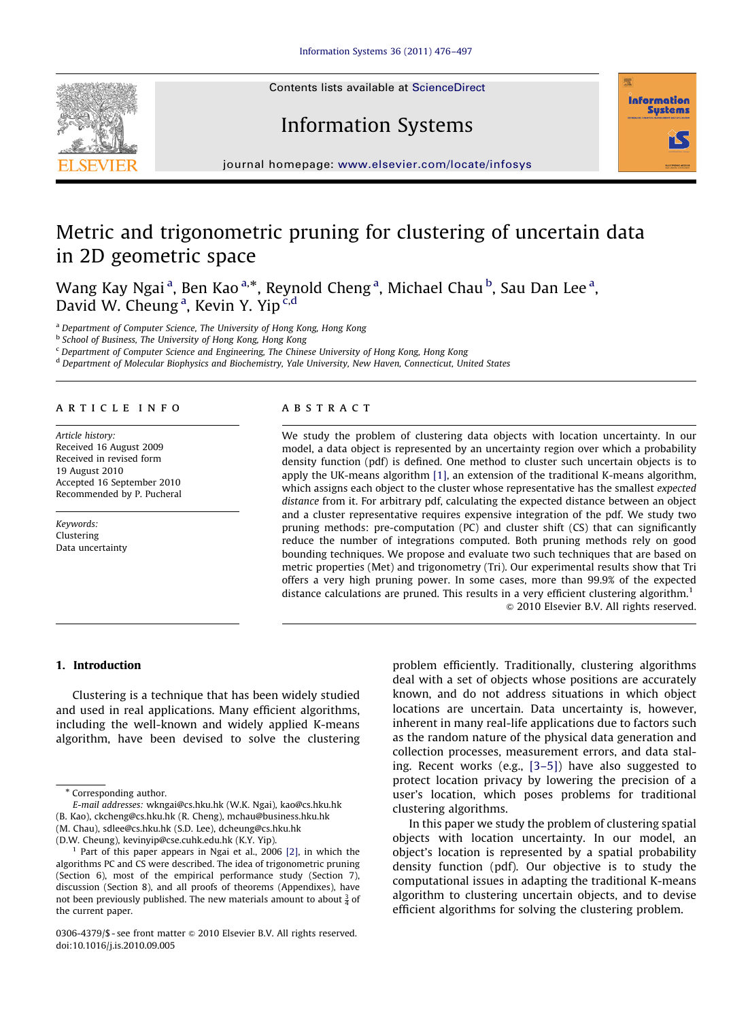Contents lists available at ScienceDirect



# Information Systems



journal homepage: <www.elsevier.com/locate/infosys>

# Metric and trigonometric pruning for clustering of uncertain data in 2D geometric space

Wang Kay Ngai <sup>a</sup>, Ben Kao <sup>a,</sup>\*, Reynold Cheng <sup>a</sup>, Michael Chau <sup>b</sup>, Sau Dan Lee <sup>a</sup>, David W. Cheung<sup>a</sup>, Kevin Y. Yip<sup>c,d</sup>

<sup>a</sup> Department of Computer Science, The University of Hong Kong, Hong Kong

b School of Business, The University of Hong Kong, Hong Kong

<sup>c</sup> Department of Computer Science and Engineering, The Chinese University of Hong Kong, Hong Kong

<sup>d</sup> Department of Molecular Biophysics and Biochemistry, Yale University, New Haven, Connecticut, United States

#### article info

Article history: Received 16 August 2009 Received in revised form 19 August 2010 Accepted 16 September 2010 Recommended by P. Pucheral

Keywords: Clustering Data uncertainty

## **ABSTRACT**

We study the problem of clustering data objects with location uncertainty. In our model, a data object is represented by an uncertainty region over which a probability density function (pdf) is defined. One method to cluster such uncertain objects is to apply the UK-means algorithm [\[1\]](#page-20-0), an extension of the traditional K-means algorithm, which assigns each object to the cluster whose representative has the smallest expected distance from it. For arbitrary pdf, calculating the expected distance between an object and a cluster representative requires expensive integration of the pdf. We study two pruning methods: pre-computation (PC) and cluster shift (CS) that can significantly reduce the number of integrations computed. Both pruning methods rely on good bounding techniques. We propose and evaluate two such techniques that are based on metric properties (Met) and trigonometry (Tri). Our experimental results show that Tri offers a very high pruning power. In some cases, more than 99.9% of the expected distance calculations are pruned. This results in a very efficient clustering algorithm.<sup>1</sup>  $\odot$  2010 Elsevier B.V. All rights reserved.

## 1. Introduction

Clustering is a technique that has been widely studied and used in real applications. Many efficient algorithms, including the well-known and widely applied K-means algorithm, have been devised to solve the clustering

problem efficiently. Traditionally, clustering algorithms deal with a set of objects whose positions are accurately known, and do not address situations in which object locations are uncertain. Data uncertainty is, however, inherent in many real-life applications due to factors such as the random nature of the physical data generation and collection processes, measurement errors, and data staling. Recent works (e.g., [\[3–5\]](#page-20-0)) have also suggested to protect location privacy by lowering the precision of a user's location, which poses problems for traditional clustering algorithms.

In this paper we study the problem of clustering spatial objects with location uncertainty. In our model, an object's location is represented by a spatial probability density function (pdf). Our objective is to study the computational issues in adapting the traditional K-means algorithm to clustering uncertain objects, and to devise efficient algorithms for solving the clustering problem.

<sup>\*</sup> Corresponding author.

E-mail addresses: [wkngai@cs.hku.hk \(W.K. Ngai\)](mailto:wkngai@cs.hku.hk), [kao@cs.hku.hk](mailto:kao@cs.hku.hk) [\(B. Kao\)](mailto:kao@cs.hku.hk), [ckcheng@cs.hku.hk \(R. Cheng\),](mailto:ckcheng@cs.hku.hk) [mchau@business.hku.hk](mailto:mchau@business.hku.hk) [\(M. Chau\)](mailto:mchau@business.hku.hk), [sdlee@cs.hku.hk \(S.D. Lee\),](mailto:sdlee@cs.hku.hk) [dcheung@cs.hku.hk](mailto:dcheung@cs.hku.hk) [\(D.W. Cheung\),](mailto:dcheung@cs.hku.hk) [kevinyip@cse.cuhk.edu.hk \(K.Y. Yip\)](mailto:kevinyip@cse.cuhk.edu.hk).

Part of this paper appears in Ngai et al., 2006 [\[2\]](#page-20-0), in which the algorithms PC and CS were described. The idea of trigonometric pruning (Section 6), most of the empirical performance study (Section 7), discussion (Section 8), and all proofs of theorems (Appendixes), have not been previously published. The new materials amount to about  $\frac{3}{4}$  of the current paper.

<sup>0306-4379/\$ -</sup> see front matter  $\circ$  2010 Elsevier B.V. All rights reserved. doi:[10.1016/j.is.2010.09.005](dx.doi.org/10.1016/j.is.2010.09.005)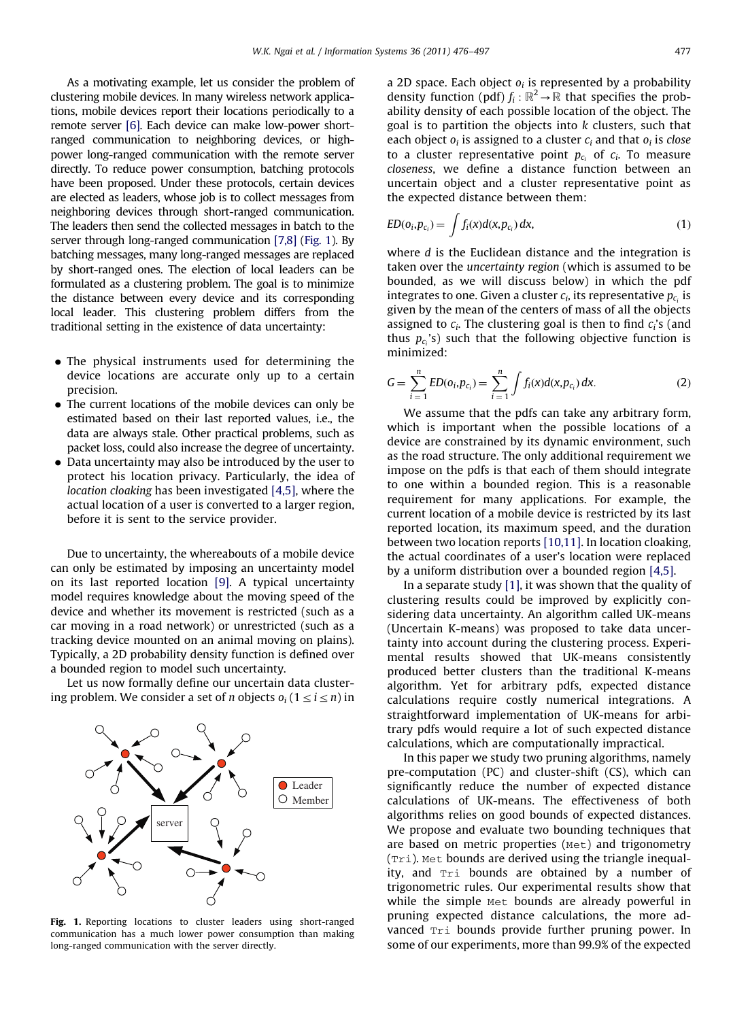As a motivating example, let us consider the problem of clustering mobile devices. In many wireless network applications, mobile devices report their locations periodically to a remote server [\[6\].](#page-20-0) Each device can make low-power shortranged communication to neighboring devices, or highpower long-ranged communication with the remote server directly. To reduce power consumption, batching protocols have been proposed. Under these protocols, certain devices are elected as leaders, whose job is to collect messages from neighboring devices through short-ranged communication. The leaders then send the collected messages in batch to the server through long-ranged communication [\[7,8\]](#page-20-0) (Fig. 1). By batching messages, many long-ranged messages are replaced by short-ranged ones. The election of local leaders can be formulated as a clustering problem. The goal is to minimize the distance between every device and its corresponding local leader. This clustering problem differs from the traditional setting in the existence of data uncertainty:

- $\bullet$  The physical instruments used for determining the device locations are accurate only up to a certain precision.
- The current locations of the mobile devices can only be estimated based on their last reported values, i.e., the data are always stale. Other practical problems, such as packet loss, could also increase the degree of uncertainty.
- Data uncertainty may also be introduced by the user to protect his location privacy. Particularly, the idea of location cloaking has been investigated [\[4,5\]](#page-20-0), where the actual location of a user is converted to a larger region, before it is sent to the service provider.

Due to uncertainty, the whereabouts of a mobile device can only be estimated by imposing an uncertainty model on its last reported location [\[9\].](#page-20-0) A typical uncertainty model requires knowledge about the moving speed of the device and whether its movement is restricted (such as a car moving in a road network) or unrestricted (such as a tracking device mounted on an animal moving on plains). Typically, a 2D probability density function is defined over a bounded region to model such uncertainty.

Let us now formally define our uncertain data clustering problem. We consider a set of *n* objects  $o_i$  ( $1 \le i \le n$ ) in



Fig. 1. Reporting locations to cluster leaders using short-ranged communication has a much lower power consumption than making long-ranged communication with the server directly.

a 2D space. Each object  $o_i$  is represented by a probability density function (pdf)  $f_i : \mathbb{R}^2 \to \mathbb{R}$  that specifies the probability density of each possible location of the object. The goal is to partition the objects into  $k$  clusters, such that each object  $o_i$  is assigned to a cluster  $c_i$  and that  $o_i$  is close to a cluster representative point  $p_{c_i}$  of  $c_i$ . To measure closeness, we define a distance function between an uncertain object and a cluster representative point as the expected distance between them:

$$
ED(o_i, p_{c_i}) = \int f_i(x) d(x, p_{c_i}) dx,
$$
\n(1)

where *d* is the Euclidean distance and the integration is taken over the uncertainty region (which is assumed to be bounded, as we will discuss below) in which the pdf integrates to one. Given a cluster  $c_i$ , its representative  $p_{c_i}$  is given by the mean of the centers of mass of all the objects assigned to  $c_i$ . The clustering goal is then to find  $c_i$ 's (and thus  $p_{c_i}$ 's) such that the following objective function is minimized:

$$
G = \sum_{i=1}^{n} ED(o_i, p_{c_i}) = \sum_{i=1}^{n} \int f_i(x) d(x, p_{c_i}) dx.
$$
 (2)

We assume that the pdfs can take any arbitrary form, which is important when the possible locations of a device are constrained by its dynamic environment, such as the road structure. The only additional requirement we impose on the pdfs is that each of them should integrate to one within a bounded region. This is a reasonable requirement for many applications. For example, the current location of a mobile device is restricted by its last reported location, its maximum speed, and the duration between two location reports [\[10,11\].](#page-20-0) In location cloaking, the actual coordinates of a user's location were replaced by a uniform distribution over a bounded region [\[4,5\].](#page-20-0)

In a separate study [\[1\]](#page-20-0), it was shown that the quality of clustering results could be improved by explicitly considering data uncertainty. An algorithm called UK-means (Uncertain K-means) was proposed to take data uncertainty into account during the clustering process. Experimental results showed that UK-means consistently produced better clusters than the traditional K-means algorithm. Yet for arbitrary pdfs, expected distance calculations require costly numerical integrations. A straightforward implementation of UK-means for arbitrary pdfs would require a lot of such expected distance calculations, which are computationally impractical.

In this paper we study two pruning algorithms, namely pre-computation (PC) and cluster-shift (CS), which can significantly reduce the number of expected distance calculations of UK-means. The effectiveness of both algorithms relies on good bounds of expected distances. We propose and evaluate two bounding techniques that are based on metric properties (Met) and trigonometry (Tri). Met bounds are derived using the triangle inequality, and Tri bounds are obtained by a number of trigonometric rules. Our experimental results show that while the simple Met bounds are already powerful in pruning expected distance calculations, the more advanced Tri bounds provide further pruning power. In some of our experiments, more than 99.9% of the expected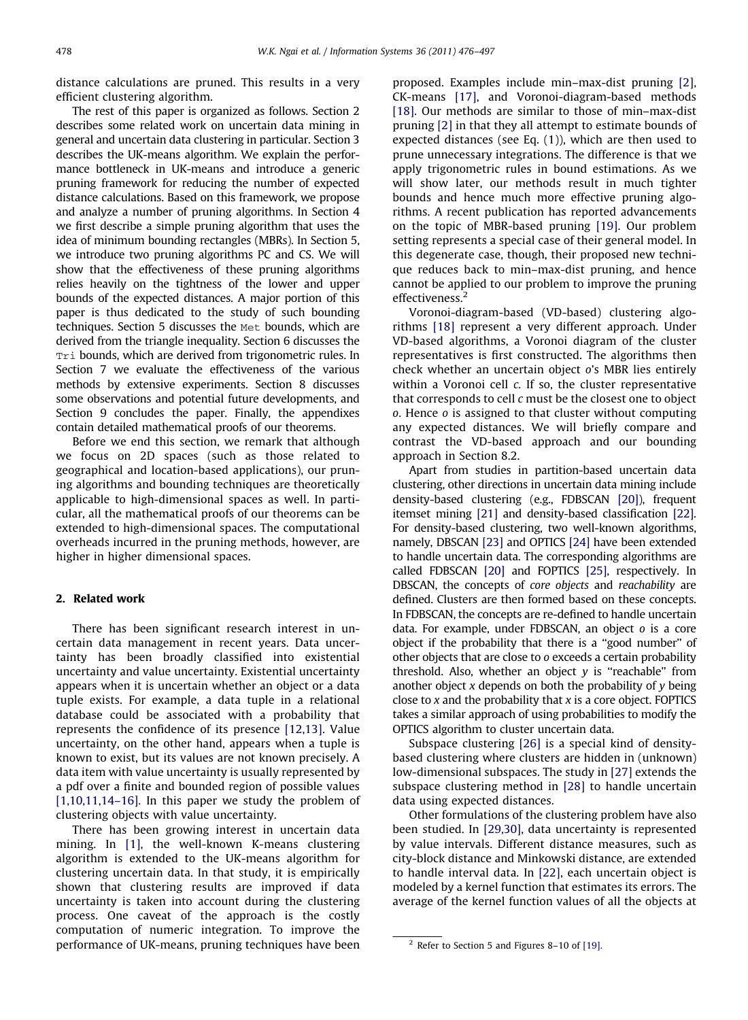distance calculations are pruned. This results in a very efficient clustering algorithm.

The rest of this paper is organized as follows. Section 2 describes some related work on uncertain data mining in general and uncertain data clustering in particular. Section 3 describes the UK-means algorithm. We explain the performance bottleneck in UK-means and introduce a generic pruning framework for reducing the number of expected distance calculations. Based on this framework, we propose and analyze a number of pruning algorithms. In Section 4 we first describe a simple pruning algorithm that uses the idea of minimum bounding rectangles (MBRs). In Section 5, we introduce two pruning algorithms PC and CS. We will show that the effectiveness of these pruning algorithms relies heavily on the tightness of the lower and upper bounds of the expected distances. A major portion of this paper is thus dedicated to the study of such bounding techniques. Section 5 discusses the Met bounds, which are derived from the triangle inequality. Section 6 discusses the Tri bounds, which are derived from trigonometric rules. In Section 7 we evaluate the effectiveness of the various methods by extensive experiments. Section 8 discusses some observations and potential future developments, and Section 9 concludes the paper. Finally, the appendixes contain detailed mathematical proofs of our theorems.

Before we end this section, we remark that although we focus on 2D spaces (such as those related to geographical and location-based applications), our pruning algorithms and bounding techniques are theoretically applicable to high-dimensional spaces as well. In particular, all the mathematical proofs of our theorems can be extended to high-dimensional spaces. The computational overheads incurred in the pruning methods, however, are higher in higher dimensional spaces.

## 2. Related work

There has been significant research interest in uncertain data management in recent years. Data uncertainty has been broadly classified into existential uncertainty and value uncertainty. Existential uncertainty appears when it is uncertain whether an object or a data tuple exists. For example, a data tuple in a relational database could be associated with a probability that represents the confidence of its presence [\[12,13\].](#page-20-0) Value uncertainty, on the other hand, appears when a tuple is known to exist, but its values are not known precisely. A data item with value uncertainty is usually represented by a pdf over a finite and bounded region of possible values  $[1,10,11,14-16]$ . In this paper we study the problem of clustering objects with value uncertainty.

There has been growing interest in uncertain data mining. In [\[1\]](#page-20-0), the well-known K-means clustering algorithm is extended to the UK-means algorithm for clustering uncertain data. In that study, it is empirically shown that clustering results are improved if data uncertainty is taken into account during the clustering process. One caveat of the approach is the costly computation of numeric integration. To improve the performance of UK-means, pruning techniques have been

proposed. Examples include min–max-dist pruning [\[2\]](#page-20-0), CK-means [\[17\],](#page-20-0) and Voronoi-diagram-based methods [\[18\].](#page-20-0) Our methods are similar to those of min–max-dist pruning [\[2\]](#page-20-0) in that they all attempt to estimate bounds of expected distances (see Eq. (1)), which are then used to prune unnecessary integrations. The difference is that we apply trigonometric rules in bound estimations. As we will show later, our methods result in much tighter bounds and hence much more effective pruning algorithms. A recent publication has reported advancements on the topic of MBR-based pruning [\[19\].](#page-21-0) Our problem setting represents a special case of their general model. In this degenerate case, though, their proposed new technique reduces back to min–max-dist pruning, and hence cannot be applied to our problem to improve the pruning effectiveness.<sup>2</sup>

Voronoi-diagram-based (VD-based) clustering algorithms [\[18\]](#page-20-0) represent a very different approach. Under VD-based algorithms, a Voronoi diagram of the cluster representatives is first constructed. The algorithms then check whether an uncertain object o's MBR lies entirely within a Voronoi cell c. If so, the cluster representative that corresponds to cell c must be the closest one to object o. Hence o is assigned to that cluster without computing any expected distances. We will briefly compare and contrast the VD-based approach and our bounding approach in Section 8.2.

Apart from studies in partition-based uncertain data clustering, other directions in uncertain data mining include density-based clustering (e.g., FDBSCAN [\[20\]\)](#page-21-0), frequent itemset mining [\[21\]](#page-21-0) and density-based classification [\[22\]](#page-21-0). For density-based clustering, two well-known algorithms, namely, DBSCAN [\[23\]](#page-21-0) and OPTICS [\[24\]](#page-21-0) have been extended to handle uncertain data. The corresponding algorithms are called FDBSCAN [\[20\]](#page-21-0) and FOPTICS [\[25\],](#page-21-0) respectively. In DBSCAN, the concepts of core objects and reachability are defined. Clusters are then formed based on these concepts. In FDBSCAN, the concepts are re-defined to handle uncertain data. For example, under FDBSCAN, an object o is a core object if the probability that there is a ''good number'' of other objects that are close to o exceeds a certain probability threshold. Also, whether an object  $y$  is "reachable" from another object  $x$  depends on both the probability of  $y$  being close to  $x$  and the probability that  $x$  is a core object. FOPTICS takes a similar approach of using probabilities to modify the OPTICS algorithm to cluster uncertain data.

Subspace clustering [\[26\]](#page-21-0) is a special kind of densitybased clustering where clusters are hidden in (unknown) low-dimensional subspaces. The study in [\[27\]](#page-21-0) extends the subspace clustering method in [\[28\]](#page-21-0) to handle uncertain data using expected distances.

Other formulations of the clustering problem have also been studied. In [\[29,30\]](#page-21-0), data uncertainty is represented by value intervals. Different distance measures, such as city-block distance and Minkowski distance, are extended to handle interval data. In [\[22\]](#page-21-0), each uncertain object is modeled by a kernel function that estimates its errors. The average of the kernel function values of all the objects at

<sup>2</sup> Refer to Section 5 and Figures 8–10 of [\[19\]](#page-21-0).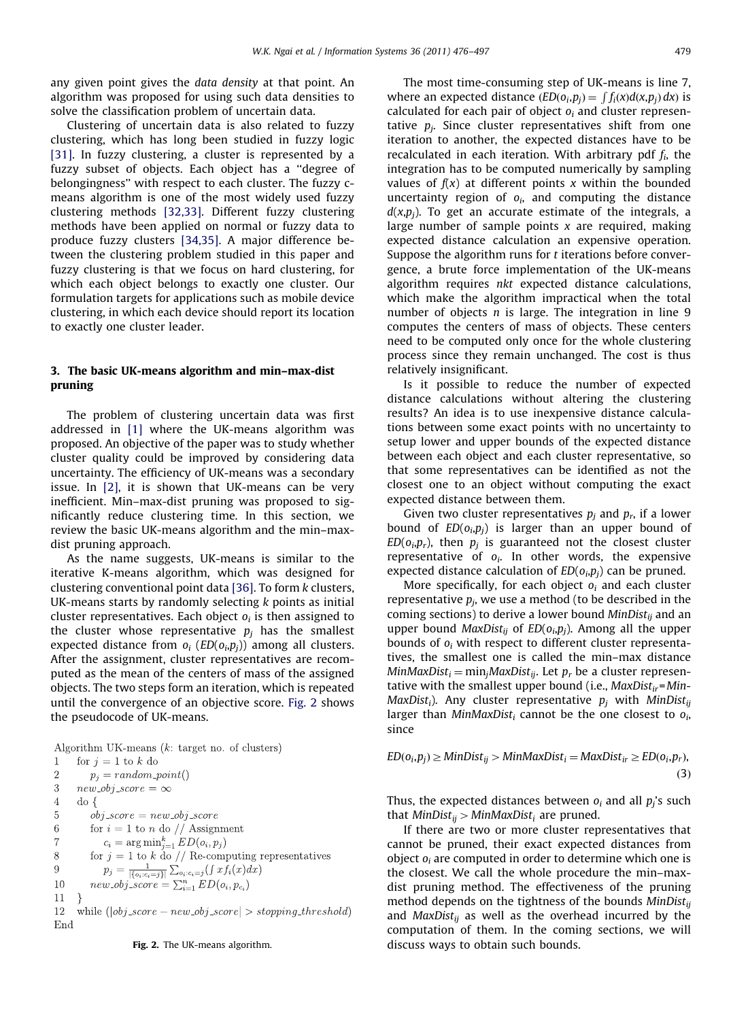any given point gives the data density at that point. An algorithm was proposed for using such data densities to solve the classification problem of uncertain data.

Clustering of uncertain data is also related to fuzzy clustering, which has long been studied in fuzzy logic [\[31\].](#page-21-0) In fuzzy clustering, a cluster is represented by a fuzzy subset of objects. Each object has a ''degree of belongingness'' with respect to each cluster. The fuzzy cmeans algorithm is one of the most widely used fuzzy clustering methods [\[32,33\].](#page-21-0) Different fuzzy clustering methods have been applied on normal or fuzzy data to produce fuzzy clusters [\[34,35\]](#page-21-0). A major difference between the clustering problem studied in this paper and fuzzy clustering is that we focus on hard clustering, for which each object belongs to exactly one cluster. Our formulation targets for applications such as mobile device clustering, in which each device should report its location to exactly one cluster leader.

## 3. The basic UK-means algorithm and min–max-dist pruning

The problem of clustering uncertain data was first addressed in [\[1\]](#page-20-0) where the UK-means algorithm was proposed. An objective of the paper was to study whether cluster quality could be improved by considering data uncertainty. The efficiency of UK-means was a secondary issue. In [\[2\]](#page-20-0), it is shown that UK-means can be very inefficient. Min–max-dist pruning was proposed to significantly reduce clustering time. In this section, we review the basic UK-means algorithm and the min–maxdist pruning approach.

As the name suggests, UK-means is similar to the iterative K-means algorithm, which was designed for clustering conventional point data [\[36\].](#page-21-0) To form k clusters, UK-means starts by randomly selecting  $k$  points as initial cluster representatives. Each object  $o_i$  is then assigned to the cluster whose representative  $p_i$  has the smallest expected distance from  $o_i$  (ED( $o_i$ , $p_i$ )) among all clusters. After the assignment, cluster representatives are recomputed as the mean of the centers of mass of the assigned objects. The two steps form an iteration, which is repeated until the convergence of an objective score. Fig. 2 shows the pseudocode of UK-means.

Algorithm UK-means  $(k: \text{target no. of clusters})$ 

for  $j = 1$  to k do  $\mathbf{1}$  $\overline{2}$  $p_i = random\_point()$  $\sqrt{3}$  $new\_obj\_score = \infty$  $\overline{4}$  $\text{do}$  {  $5\,$  $obj\_score = new\_obj\_score$ for  $i = 1$  to n do // Assignment  $\,6\,$  $c_i = \arg \min_{j=1}^k ED(o_i, p_j)$  $\overline{7}$ for  $j = 1$  to k do // Re-computing representatives  $8\,$  $p_j = \frac{1}{|\{o_i : c_i = j\}|} \sum_{o_i : c_i = j}^{\prime} ( \int x f_i(x) dx )$ <br>  $new\_obj\_score = \sum_{i=1}^{n} ED(o_i, p_{c_i})$  $\,9$ 10  $11$ - } 12 while  $(|obj\_score - new\_obj\_score| > stopping\_threshold)$ End

The most time-consuming step of UK-means is line 7, where an expected distance  $(ED(o_i, p_j) = \int f_i(x) d(x, p_j) dx)$  is calculated for each pair of object  $o_i$  and cluster representative  $p_i$ . Since cluster representatives shift from one iteration to another, the expected distances have to be recalculated in each iteration. With arbitrary pdf  $f_i$ , the integration has to be computed numerically by sampling values of  $f(x)$  at different points x within the bounded uncertainty region of  $o_i$ , and computing the distance  $d(x, p_i)$ . To get an accurate estimate of the integrals, a large number of sample points  $x$  are required, making expected distance calculation an expensive operation. Suppose the algorithm runs for t iterations before convergence, a brute force implementation of the UK-means algorithm requires nkt expected distance calculations, which make the algorithm impractical when the total number of objects  $n$  is large. The integration in line 9 computes the centers of mass of objects. These centers need to be computed only once for the whole clustering process since they remain unchanged. The cost is thus relatively insignificant.

Is it possible to reduce the number of expected distance calculations without altering the clustering results? An idea is to use inexpensive distance calculations between some exact points with no uncertainty to setup lower and upper bounds of the expected distance between each object and each cluster representative, so that some representatives can be identified as not the closest one to an object without computing the exact expected distance between them.

Given two cluster representatives  $p_i$  and  $p_r$ , if a lower bound of  $ED(o_i, p_i)$  is larger than an upper bound of  $ED(o_i, p_r)$ , then  $p_i$  is guaranteed not the closest cluster representative of  $o_i$ . In other words, the expensive expected distance calculation of  $ED(o_i, p_i)$  can be pruned.

More specifically, for each object  $o_i$  and each cluster representative  $p_i$ , we use a method (to be described in the coming sections) to derive a lower bound  $MinDist_{ii}$  and an upper bound MaxDist<sub>ii</sub> of  $ED(o_i, p_i)$ . Among all the upper bounds of  $o_i$  with respect to different cluster representatives, the smallest one is called the min–max distance  $MinMaxDist_i = min_iMaxDist_{ij}$ . Let  $p_r$  be a cluster representative with the smallest upper bound (i.e.,  $MaxDist_{ir} = Min-$ MaxDist<sub>i</sub>). Any cluster representative  $p_i$  with MinDist<sub>ii</sub> larger than MinMaxDist<sub>i</sub> cannot be the one closest to  $o_i$ , since

$$
ED(o_i, p_j) \geq MinDist_{ij} > MinMaxDist_i = MaxDist_{ir} \geq ED(o_i, p_r),
$$
\n(3)

Thus, the expected distances between  $o_i$  and all  $p_i$ 's such that  $MinDist_{ii} > MinMaxDist_{i}$  are pruned.

If there are two or more cluster representatives that cannot be pruned, their exact expected distances from object  $o_i$  are computed in order to determine which one is the closest. We call the whole procedure the min–maxdist pruning method. The effectiveness of the pruning method depends on the tightness of the bounds  $MinDist_{ii}$ and  $MaxDist_{ij}$  as well as the overhead incurred by the computation of them. In the coming sections, we will Fig. 2. The UK-means algorithm. discuss ways to obtain such bounds.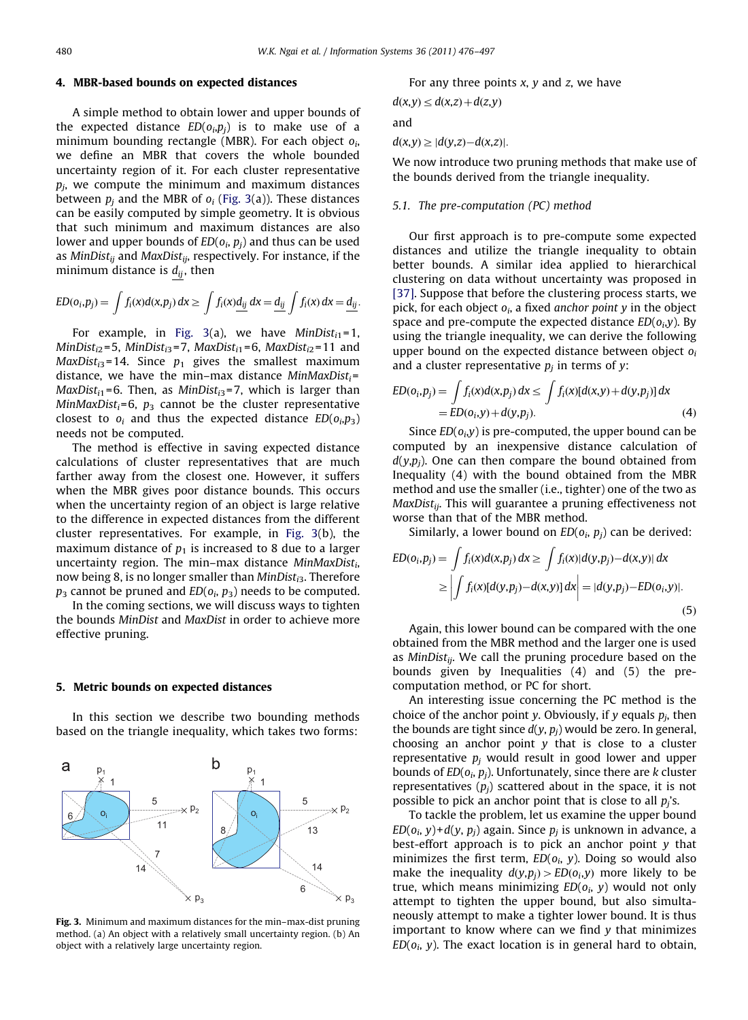### 4. MBR-based bounds on expected distances

A simple method to obtain lower and upper bounds of the expected distance  $ED(o_i, p_i)$  is to make use of a minimum bounding rectangle (MBR). For each object  $o_i$ , we define an MBR that covers the whole bounded uncertainty region of it. For each cluster representative  $p_i$ , we compute the minimum and maximum distances between  $p_i$  and the MBR of  $o_i$  (Fig. 3(a)). These distances can be easily computed by simple geometry. It is obvious that such minimum and maximum distances are also lower and upper bounds of  $ED(o_i, p_i)$  and thus can be used as MinDist $_{ij}$  and MaxDist<sub>ij</sub>, respectively. For instance, if the minimum distance is  $d_{ij}$ , then

$$
ED(o_i, p_j) = \int f_i(x) d(x, p_j) dx \ge \int f_i(x) \underline{d_{ij}} dx = \underline{d_{ij}} \int f_i(x) dx = \underline{d_{ij}}.
$$

For example, in Fig. 3(a), we have  $MinDist_{i1}=1$ ,  $MinDist_{i2}=5$ ,  $MinDist_{i3}=7$ ,  $MaxDist_{i1}=6$ ,  $MaxDist_{i2}=11$  and  $MaxDist_{i3}=14$ . Since  $p_1$  gives the smallest maximum distance, we have the min-max distance  $MinMaxDist_i =$  $MaxDist_{i1}=6$ . Then, as  $MinDist_{i3}=7$ , which is larger than MinMaxDist<sub>i</sub>=6,  $p_3$  cannot be the cluster representative closest to  $o_i$  and thus the expected distance  $ED(o_i, p_3)$ needs not be computed.

The method is effective in saving expected distance calculations of cluster representatives that are much farther away from the closest one. However, it suffers when the MBR gives poor distance bounds. This occurs when the uncertainty region of an object is large relative to the difference in expected distances from the different cluster representatives. For example, in Fig. 3(b), the maximum distance of  $p_1$  is increased to 8 due to a larger uncertainty region. The min-max distance  $MinMaxDist_i$ , now being 8, is no longer smaller than  $MinDist_{i3}$ . Therefore  $p_3$  cannot be pruned and  $ED(o_i, p_3)$  needs to be computed.

In the coming sections, we will discuss ways to tighten the bounds MinDist and MaxDist in order to achieve more effective pruning.

#### 5. Metric bounds on expected distances

In this section we describe two bounding methods based on the triangle inequality, which takes two forms:



Fig. 3. Minimum and maximum distances for the min–max-dist pruning method. (a) An object with a relatively small uncertainty region. (b) An object with a relatively large uncertainty region.

For any three points 
$$
x
$$
,  $y$ , and  $z$ , we have

 $d(x,y) \leq d(x,z) + d(z,y)$ and

 $d(x,y) \geq |d(y,z)-d(x,z)|$ .

We now introduce two pruning methods that make use of the bounds derived from the triangle inequality.

### 5.1. The pre-computation (PC) method

Our first approach is to pre-compute some expected distances and utilize the triangle inequality to obtain better bounds. A similar idea applied to hierarchical clustering on data without uncertainty was proposed in [\[37\].](#page-21-0) Suppose that before the clustering process starts, we pick, for each object  $o_i$ , a fixed anchor point  $y$  in the object space and pre-compute the expected distance  $ED(o_i, v)$ . By using the triangle inequality, we can derive the following upper bound on the expected distance between object  $o_i$ and a cluster representative  $p_i$  in terms of y:

$$
ED(o_i, p_j) = \int f_i(x) d(x, p_j) dx \le \int f_i(x) [d(x, y) + d(y, p_j)] dx
$$
  
= 
$$
ED(o_i, y) + d(y, p_j).
$$
 (4)

Since  $ED(o_i, v)$  is pre-computed, the upper bound can be computed by an inexpensive distance calculation of  $d(y, p_i)$ . One can then compare the bound obtained from Inequality (4) with the bound obtained from the MBR method and use the smaller (i.e., tighter) one of the two as  $MaxDist_{ii}$ . This will guarantee a pruning effectiveness not worse than that of the MBR method.

Similarly, a lower bound on  $ED(o_i, p_i)$  can be derived:

$$
ED(o_i, p_j) = \int f_i(x) d(x, p_j) dx \ge \int f_i(x) |d(y, p_j) - d(x, y)| dx
$$
  
\n
$$
\ge \left| \int f_i(x) [d(y, p_j) - d(x, y)] dx \right| = |d(y, p_j) - ED(o_i, y)|.
$$
\n(5)

Again, this lower bound can be compared with the one obtained from the MBR method and the larger one is used as  $MinDist_{ii}$ . We call the pruning procedure based on the bounds given by Inequalities (4) and (5) the precomputation method, or PC for short.

An interesting issue concerning the PC method is the choice of the anchor point y. Obviously, if y equals  $p_i$ , then the bounds are tight since  $d(y, p_i)$  would be zero. In general, choosing an anchor point  $y$  that is close to a cluster representative  $p_i$  would result in good lower and upper bounds of  $ED(o_i, p_i)$ . Unfortunately, since there are k cluster representatives  $(p_i)$  scattered about in the space, it is not possible to pick an anchor point that is close to all  $p_i$ 's.

To tackle the problem, let us examine the upper bound  $ED(o_i, y) + d(y, p_i)$  again. Since  $p_i$  is unknown in advance, a best-effort approach is to pick an anchor point y that minimizes the first term,  $ED(o_i, y)$ . Doing so would also make the inequality  $d(y, p_i) > ED(o_i, y)$  more likely to be true, which means minimizing  $ED(o_i, y)$  would not only attempt to tighten the upper bound, but also simultaneously attempt to make a tighter lower bound. It is thus important to know where can we find y that minimizes  $ED(o_i, y)$ . The exact location is in general hard to obtain,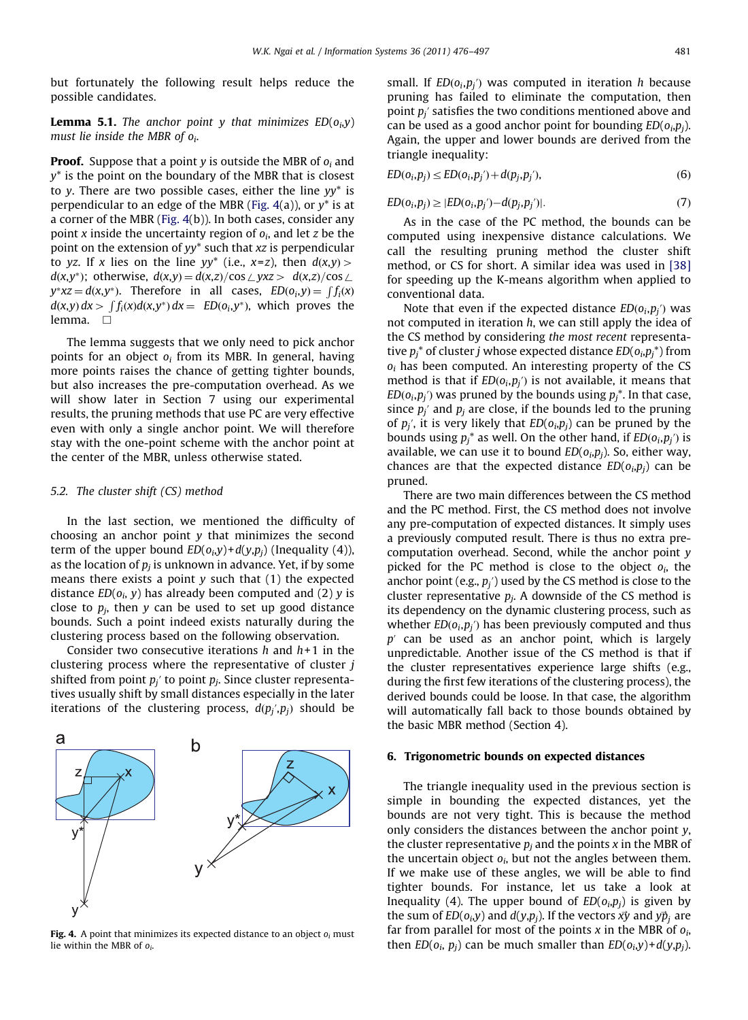but fortunately the following result helps reduce the possible candidates.

**Lemma 5.1.** The anchor point y that minimizes  $ED(o_i, y)$ must lie inside the MBR of  $o_i$ .

**Proof.** Suppose that a point  $\gamma$  is outside the MBR of  $o_i$  and  $y^*$  is the point on the boundary of the MBR that is closest to y. There are two possible cases, either the line  $yy^*$  is perpendicular to an edge of the MBR (Fig. 4(a)), or  $y^*$  is at a corner of the MBR (Fig. 4(b)). In both cases, consider any point x inside the uncertainty region of  $o_i$ , and let z be the point on the extension of  $yy^*$  such that xz is perpendicular to yz. If x lies on the line yy<sup>\*</sup> (i.e.,  $x=z$ ), then  $d(x,y)$  $d(x,y^*)$ ; otherwise,  $d(x,y) = d(x,z)/\cos\angle yxz > d(x,z)/\cos\angle$  $y^*xz = d(x, y^*)$ . Therefore in all cases,  $ED(o_i, y) = \int f_i(x)$  $d(x,y) dx > \int f_i(x) d(x,y^*) dx = ED(o_i,y^*)$ , which proves the lemma.  $\square$ 

The lemma suggests that we only need to pick anchor points for an object  $o_i$  from its MBR. In general, having more points raises the chance of getting tighter bounds, but also increases the pre-computation overhead. As we will show later in Section 7 using our experimental results, the pruning methods that use PC are very effective even with only a single anchor point. We will therefore stay with the one-point scheme with the anchor point at the center of the MBR, unless otherwise stated.

## 5.2. The cluster shift (CS) method

a

In the last section, we mentioned the difficulty of choosing an anchor point y that minimizes the second term of the upper bound  $ED(o_i, y) + d(y, p_i)$  (Inequality (4)), as the location of  $p_i$  is unknown in advance. Yet, if by some means there exists a point  $y$  such that  $(1)$  the expected distance  $ED(o_i, y)$  has already been computed and (2) y is close to  $p_i$ , then y can be used to set up good distance bounds. Such a point indeed exists naturally during the clustering process based on the following observation.

Consider two consecutive iterations  $h$  and  $h+1$  in the clustering process where the representative of cluster j shifted from point  $p_i$ ' to point  $p_i$ . Since cluster representatives usually shift by small distances especially in the later iterations of the clustering process,  $d(p_i, p_i)$  should be

Fig. 4. A point that minimizes its expected distance to an object  $o_i$  must lie within the MBR of  $o_i$ .

small. If  $ED(o_i, p_i)$  was computed in iteration h because pruning has failed to eliminate the computation, then point  $p_i$ ' satisfies the two conditions mentioned above and can be used as a good anchor point for bounding  $ED(o_i, p_i)$ . Again, the upper and lower bounds are derived from the triangle inequality:

$$
ED(oi, pj) \le ED(oi, pj') + d(pj, pj'),
$$
\n(6)

$$
ED(oi, pj) \ge |ED(oi, pj') - d(pj, pj)|.
$$
\n(7)

As in the case of the PC method, the bounds can be computed using inexpensive distance calculations. We call the resulting pruning method the cluster shift method, or CS for short. A similar idea was used in [\[38\]](#page-21-0) for speeding up the K-means algorithm when applied to conventional data.

Note that even if the expected distance  $ED(o_i, p_i)$  was not computed in iteration h, we can still apply the idea of the CS method by considering the most recent representative  $p_i^*$  of cluster *j* whose expected distance  $ED(o_i, p_i^*)$  from  $o_i$  has been computed. An interesting property of the CS method is that if  $ED(o_i, p_i)$  is not available, it means that  $ED(o_i, p_i)$  was pruned by the bounds using  $p_i^*$ . In that case, since  $p_i$  and  $p_i$  are close, if the bounds led to the pruning of  $p_i$ , it is very likely that  $ED(o_i, p_i)$  can be pruned by the bounds using  $p_i^*$  as well. On the other hand, if  $ED(o_i, p_i')$  is available, we can use it to bound  $ED(o_i, p_i)$ . So, either way, chances are that the expected distance  $ED(o_i, p_i)$  can be pruned.

There are two main differences between the CS method and the PC method. First, the CS method does not involve any pre-computation of expected distances. It simply uses a previously computed result. There is thus no extra precomputation overhead. Second, while the anchor point y picked for the PC method is close to the object  $o_i$ , the anchor point (e.g.,  $p_i$ ) used by the CS method is close to the cluster representative  $p_j$ . A downside of the CS method is its dependency on the dynamic clustering process, such as whether  $ED(o_i, p_i)$  has been previously computed and thus  $p'$  can be used as an anchor point, which is largely unpredictable. Another issue of the CS method is that if the cluster representatives experience large shifts (e.g., during the first few iterations of the clustering process), the derived bounds could be loose. In that case, the algorithm will automatically fall back to those bounds obtained by the basic MBR method (Section 4).

## 6. Trigonometric bounds on expected distances

The triangle inequality used in the previous section is simple in bounding the expected distances, yet the bounds are not very tight. This is because the method only considers the distances between the anchor point y, the cluster representative  $p_i$  and the points x in the MBR of the uncertain object  $o_i$ , but not the angles between them. If we make use of these angles, we will be able to find tighter bounds. For instance, let us take a look at Inequality (4). The upper bound of  $ED(o_i, p_j)$  is given by the sum of  $ED(o_i, y)$  and  $d(y, p_j)$ . If the vectors  $\vec{xy}$  and  $\vec{yp}_i$  are far from parallel for most of the points  $x$  in the MBR of  $o_i$ , then  $ED(o_i, p_i)$  can be much smaller than  $ED(o_i, y) + d(y, p_i)$ .

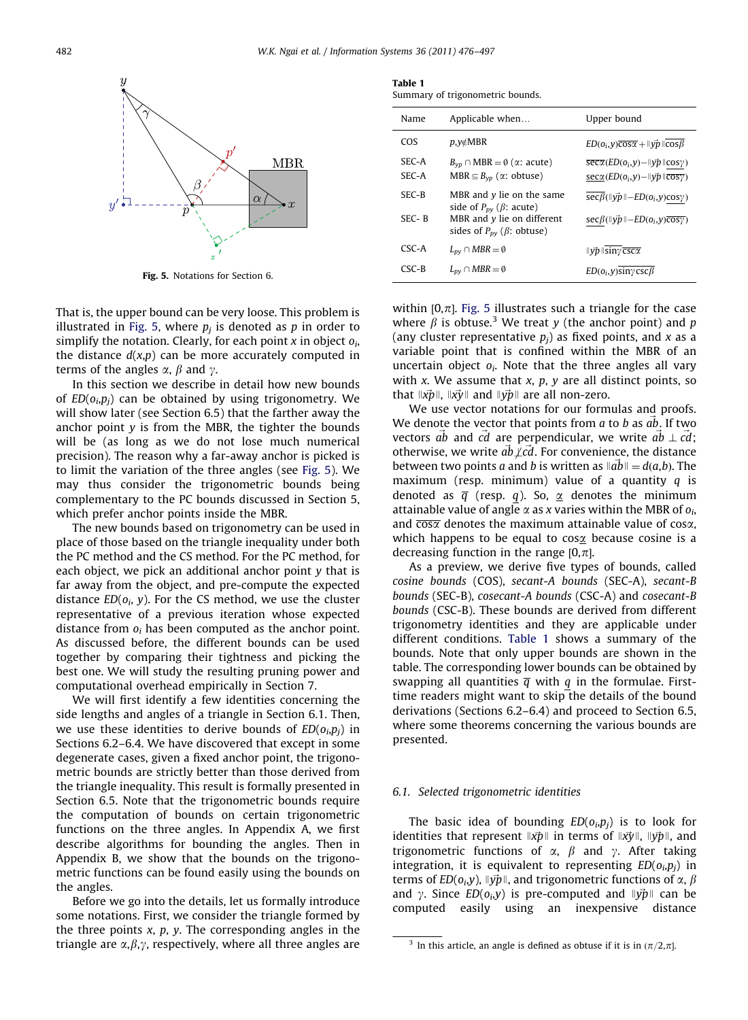<span id="page-6-0"></span>

Fig. 5. Notations for Section 6.

That is, the upper bound can be very loose. This problem is illustrated in Fig. 5, where  $p_i$  is denoted as p in order to simplify the notation. Clearly, for each point  $x$  in object  $o_i$ , the distance  $d(x,p)$  can be more accurately computed in terms of the angles  $\alpha$ ,  $\beta$  and  $\gamma$ .

In this section we describe in detail how new bounds of  $ED(o_i, p_i)$  can be obtained by using trigonometry. We will show later (see Section 6.5) that the farther away the anchor point  $\nu$  is from the MBR, the tighter the bounds will be (as long as we do not lose much numerical precision). The reason why a far-away anchor is picked is to limit the variation of the three angles (see Fig. 5). We may thus consider the trigonometric bounds being complementary to the PC bounds discussed in Section 5, which prefer anchor points inside the MBR.

The new bounds based on trigonometry can be used in place of those based on the triangle inequality under both the PC method and the CS method. For the PC method, for each object, we pick an additional anchor point y that is far away from the object, and pre-compute the expected distance  $ED(o_i, y)$ . For the CS method, we use the cluster representative of a previous iteration whose expected distance from  $o_i$  has been computed as the anchor point. As discussed before, the different bounds can be used together by comparing their tightness and picking the best one. We will study the resulting pruning power and computational overhead empirically in Section 7.

We will first identify a few identities concerning the side lengths and angles of a triangle in Section 6.1. Then, we use these identities to derive bounds of  $ED(o_i, p_i)$  in Sections 6.2–6.4. We have discovered that except in some degenerate cases, given a fixed anchor point, the trigonometric bounds are strictly better than those derived from the triangle inequality. This result is formally presented in Section 6.5. Note that the trigonometric bounds require the computation of bounds on certain trigonometric functions on the three angles. In Appendix A, we first describe algorithms for bounding the angles. Then in Appendix B, we show that the bounds on the trigonometric functions can be found easily using the bounds on the angles.

Before we go into the details, let us formally introduce some notations. First, we consider the triangle formed by the three points  $x$ ,  $p$ ,  $y$ . The corresponding angles in the triangle are  $\alpha, \beta, \gamma$ , respectively, where all three angles are

| Table 1                          |  |
|----------------------------------|--|
| Summary of trigonometric bounds. |  |

| Name             | Applicable when                                                                                            | Upper bound                                                                                                            |
|------------------|------------------------------------------------------------------------------------------------------------|------------------------------------------------------------------------------------------------------------------------|
| COS              | $p, v \notin MBR$                                                                                          | $ED(o_i, v) \overline{\cos \alpha} +   \overrightarrow{vp}   \cos \beta$                                               |
| SEC-A<br>SEC-A   | $B_{\nu D} \cap MBR = \emptyset$ ( $\alpha$ : acute)<br>$MBR \subseteq B_{\nu p}$ ( $\alpha$ : obtuse)     | $\overline{\text{sec}\alpha}$ (ED( $o_i, y$ ) –   yp̃   cosy)<br>$sec\alpha(ED(o_i, y) -   \vec{yp}  \overline{cosy})$ |
| $SFC-B$<br>SEC-B | MBR and $\nu$ lie on the same<br>side of $P_{\text{pv}}(\beta)$ : acute)<br>MBR and $\nu$ lie on different | $sec\beta(  \vec{vp}   - ED(o_i, v)cos\gamma)$<br>$\sec\beta(  \vec{yp}   - ED(o_i, y)\overline{\cos y})$              |
|                  | sides of $P_{\text{pv}}$ ( $\beta$ : obtuse)                                                               |                                                                                                                        |
| CSC-A            | $L_{nv} \cap MBR = \emptyset$                                                                              | $\ \vec{vp}\ \sin\gamma\overline{\csc\alpha}$                                                                          |
| $CSC-B$          | $L_{\rm nv} \cap MBR = \emptyset$                                                                          | $ED(o_i, y)$ sinycsc $\beta$                                                                                           |

within  $[0,\pi]$ . Fig. 5 illustrates such a triangle for the case where  $\beta$  is obtuse.<sup>3</sup> We treat y (the anchor point) and p (any cluster representative  $p_i$ ) as fixed points, and x as a variable point that is confined within the MBR of an uncertain object  $o_i$ . Note that the three angles all vary with x. We assume that x, p, y are all distinct points, so that  $\|\vec{xp}\|$ ,  $\|\vec{xy}\|$  and  $\|\vec{vp}\|$  are all non-zero.

We use vector notations for our formulas and proofs. We denote the vector that points from  $a$  to  $b$  as  $\overline{ab}$ . If two vectors ab and cd are perpendicular, we write  $ab \perp cd$ ; otherwise, we write  $\vec{ab} \perp \vec{cd}$ . For convenience, the distance between two points a and b is written as  $\|\vec{ab}\| = d(a,b)$ . The maximum (resp. minimum) value of a quantity  $q$  is denoted as  $\overline{q}$  (resp. q). So,  $\underline{\alpha}$  denotes the minimum attainable value of angle  $\alpha$  as x varies within the MBR of  $o_i$ , and  $\overline{\cos \alpha}$  denotes the maximum attainable value of  $\cos \alpha$ , which happens to be equal to  $cos \alpha$  because cosine is a decreasing function in the range  $[0,\pi]$ .

As a preview, we derive five types of bounds, called cosine bounds (COS), secant-A bounds (SEC-A), secant-B bounds (SEC-B), cosecant-A bounds (CSC-A) and cosecant-B bounds (CSC-B). These bounds are derived from different trigonometry identities and they are applicable under different conditions. Table 1 shows a summary of the bounds. Note that only upper bounds are shown in the table. The corresponding lower bounds can be obtained by swapping all quantities  $\overline{q}$  with q in the formulae. Firsttime readers might want to skip the details of the bound derivations (Sections 6.2–6.4) and proceed to Section 6.5, where some theorems concerning the various bounds are presented.

#### 6.1. Selected trigonometric identities

The basic idea of bounding  $ED(o_i, p_i)$  is to look for identities that represent  $\|\vec{xp}\|$  in terms of  $\|\vec{xy}\|$ ,  $\|\vec{yp}\|$ , and trigonometric functions of  $\alpha$ ,  $\beta$  and  $\gamma$ . After taking integration, it is equivalent to representing  $ED(o_i, p_i)$  in terms of  $ED(o_i, y)$ ,  $\|\vec{y}\|$ , and trigonometric functions of  $\alpha$ ,  $\beta$ and y. Since  $ED(o_i, y)$  is pre-computed and  $\|\vec{vp}\|$  can be computed easily using an inexpensive distance

<sup>&</sup>lt;sup>3</sup> In this article, an angle is defined as obtuse if it is in  $(\pi/2,\pi]$ .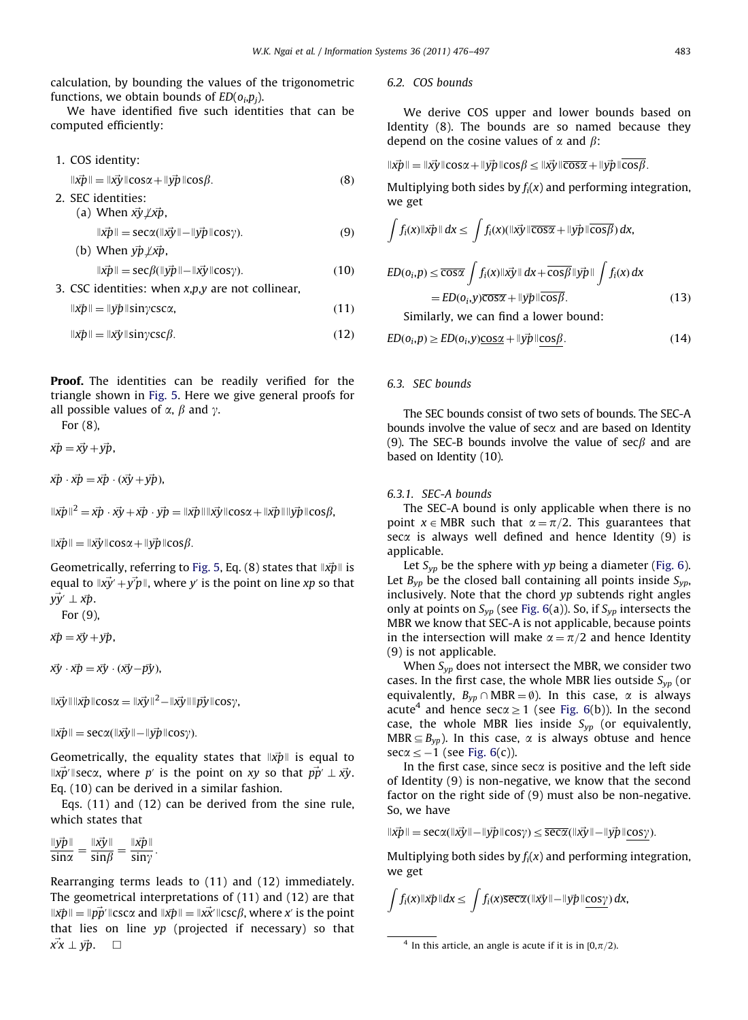calculation, by bounding the values of the trigonometric functions, we obtain bounds of  $ED(o_i, p_i)$ .

We have identified five such identities that can be computed efficiently:

1. COS identity:

 $\Vert \vec{xp} \Vert = \Vert \vec{xy} \Vert \cos \alpha + \Vert \vec{yp} \Vert \cos \beta.$  (8)

- 2. SEC identities:
	- (a) When  $x\overrightarrow{y}\perp x\overrightarrow{p}$ ,

$$
\|\vec{xp}\| = \sec\alpha(\|\vec{xy}\| - \|\vec{yp}\|\cos\gamma). \tag{9}
$$
\n(b) When  $\vec{vp}$   $\|\vec{vp}\|$ .

$$
\|\vec{xp}\| = \sec\beta(\|\vec{yp}\| - \|\vec{xy}\| \cos\gamma). \tag{10}
$$

3. CSC identities: when  $x, p, y$  are not collinear,

$$
\|\vec{xp}\| = \|\vec{yp}\|\sin\gamma \csc\alpha,\tag{11}
$$

$$
\|\vec{xp}\| = \|\vec{xy}\|\sin\gamma\csc\beta. \tag{12}
$$

Proof. The identities can be readily verified for the triangle shown in [Fig. 5](#page-6-0). Here we give general proofs for all possible values of  $\alpha$ ,  $\beta$  and  $\gamma$ .

For (8),

 $x\vec{p} = x\vec{v} + y\vec{p}$ ,

 $x\vec{p} \cdot x\vec{p} = x\vec{p} \cdot (x\vec{v} + y\vec{p}),$ 

$$
\|\vec{xp}\|^2 = \vec{xp} \cdot \vec{xy} + \vec{xp} \cdot \vec{yp} = \|\vec{xp}\| \|\vec{xy}\| \cos\alpha + \|\vec{xp}\| \|\vec{yp}\| \cos\beta,
$$

 $\|\vec{xp}\| = \|\vec{xy}\|\cos\alpha + \|\vec{yp}\|\cos\beta.$ 

Geometrically, referring to [Fig. 5](#page-6-0), Eq. (8) states that  $\|\vec{xp}\|$  is equal to  $\Vert x \Vert y' + y \Vert p \Vert$ , where y' is the point on line xp so that  $y\vec{y}' \perp \vec{xp}$ .

For (9),

 $x\vec{p} = x\vec{y} + y\vec{p}$ ,

 $x\vec{v} \cdot x\vec{p} = x\vec{v} \cdot (x\vec{v} - \vec{p}\vec{v}),$ 

$$
\|\vec{xy}\|\|\vec{xp}\|\cos\alpha=\|\vec{xy}\|^2-\|\vec{xy}\|\|\vec{py}\|\cos\gamma,
$$

 $\|\vec{xp}\| = \sec\alpha(\|\vec{xy}\| - \|\vec{yp}\| \cos\gamma).$ 

Geometrically, the equality states that  $\|\vec{xp}\|$  is equal to  $\Vert x \vec{p}' \Vert$  sec $\alpha$ , where p' is the point on xy so that  $p\vec{p}' \perp x \vec{y}$ . Eq. (10) can be derived in a similar fashion.

Eqs. (11) and (12) can be derived from the sine rule, which states that

$$
\frac{\|\vec{y}\vec{p}\|}{\sin\alpha} = \frac{\|\vec{x}\vec{y}\|}{\sin\beta} = \frac{\|\vec{x}\vec{p}\|}{\sin\gamma}.
$$

Rearranging terms leads to (11) and (12) immediately. The geometrical interpretations of (11) and (12) are that  $\Vert \vec{xp} \Vert = \Vert \vec{pp'} \Vert \csc \alpha$  and  $\Vert \vec{xp} \Vert = \Vert \vec{xx'} \Vert \csc \beta$ , where x' is the point that lies on line yp (projected if necessary) so that  $x^7x \perp y\bar{p}$ .  $\Box$ 

#### 6.2. COS bounds

We derive COS upper and lower bounds based on Identity (8). The bounds are so named because they depend on the cosine values of  $\alpha$  and  $\beta$ :

 $\|\vec{xp}\| = \|\vec{xp}\|\cos\alpha + \|\vec{vp}\|\cos\beta \leq \|\vec{xp}\|\overline{\cos\alpha} + \|\vec{vp}\|\overline{\cos\beta}.$ 

Multiplying both sides by  $f_i(x)$  and performing integration, we get

$$
\int f_i(x) \|\vec{xp}\| \, dx \le \int f_i(x) (\|\vec{xp}\| \overline{\cos x} + \|\vec{yp}\| \overline{\cos \beta}) \, dx,
$$
\n
$$
ED(o_i, p) \le \overline{\cos x} \int f_i(x) \|\vec{xp}\| \, dx + \overline{\cos \beta} \|\vec{yp}\| \int f_i(x) \, dx
$$
\n
$$
= ED(o_i, y) \overline{\cos x} + \|\vec{yp}\| \overline{\cos \beta}.
$$
\n(13)

Similarly, we can find a lower bound:

$$
ED(o_i, p) \ge ED(o_i, y) \underline{\cos \alpha} + ||\vec{yp}|| \underline{\cos \beta}.
$$
\n(14)

## 6.3. SEC bounds

The SEC bounds consist of two sets of bounds. The SEC-A bounds involve the value of sec $\alpha$  and are based on Identity (9). The SEC-B bounds involve the value of sec $\beta$  and are based on Identity (10).

## 6.3.1. SEC-A bounds

The SEC-A bound is only applicable when there is no point  $x \in MBR$  such that  $\alpha = \pi/2$ . This guarantees that  $sec\alpha$  is always well defined and hence Identity (9) is applicable.

Let  $S_{vp}$  be the sphere with  $yp$  being a diameter ([Fig. 6](#page-8-0)). Let  $B_{\nu p}$  be the closed ball containing all points inside  $S_{\nu p}$ , inclusively. Note that the chord yp subtends right angles only at points on  $S_{vp}$  (see [Fig. 6\(](#page-8-0)a)). So, if  $S_{vp}$  intersects the MBR we know that SEC-A is not applicable, because points in the intersection will make  $\alpha = \pi/2$  and hence Identity (9) is not applicable.

When  $S_{yp}$  does not intersect the MBR, we consider two cases. In the first case, the whole MBR lies outside  $S_{yp}$  (or equivalently,  $B_{yp} \cap MBR = \emptyset$ ). In this case,  $\alpha$  is always acute<sup>4</sup> and hence sec $\alpha \geq 1$  (see [Fig. 6\(](#page-8-0)b)). In the second case, the whole MBR lies inside  $S_{yp}$  (or equivalently,  $MBR \subseteq B_{yp}$ ). In this case,  $\alpha$  is always obtuse and hence  $sec\alpha \leq -1$  (see [Fig. 6\(](#page-8-0)c)).

In the first case, since sec $\alpha$  is positive and the left side of Identity (9) is non-negative, we know that the second factor on the right side of (9) must also be non-negative. So, we have

 $\|\vec{xp}\| = \sec\alpha(\|\vec{xy}\| - \|\vec{yp}\| \cos\gamma) \le \overline{\sec\alpha}(\|\vec{xy}\| - \|\vec{yp}\| \cos\gamma).$ 

Multiplying both sides by  $f_i(x)$  and performing integration, we get

$$
\int f_i(x) \|\vec{xp}\| dx \leq \int f_i(x) \overline{\sec \alpha}(\|\vec{xy}\| - \|\vec{yp}\| \underline{\cos \gamma}) dx,
$$

<sup>&</sup>lt;sup>4</sup> In this article, an angle is acute if it is in  $[0,\pi/2)$ .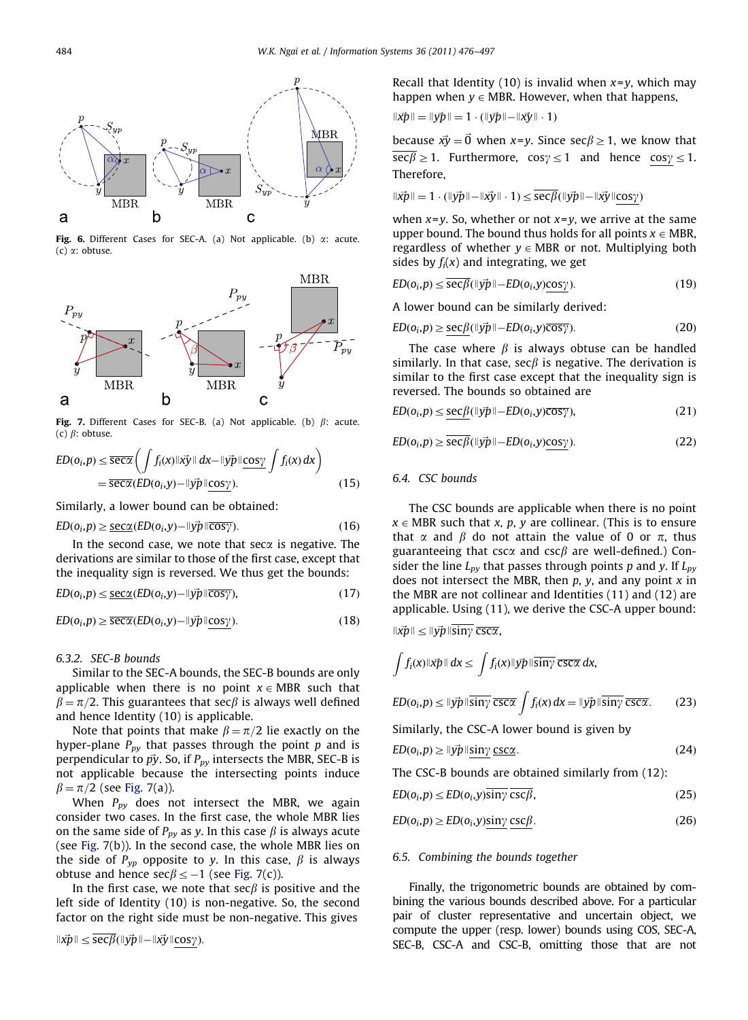<span id="page-8-0"></span>

Fig. 6. Different Cases for SEC-A. (a) Not applicable. (b)  $\alpha$ : acute. (c) a: obtuse.



Fig. 7. Different Cases for SEC-B. (a) Not applicable. (b)  $\beta$ : acute. (c)  $\beta$ : obtuse.

$$
ED(o_i, p) \leq \overline{\sec\alpha} \left( \int f_i(x) ||\vec{x}y|| \, dx - ||\vec{y}p|| \underline{\cos\gamma} \int f_i(x) \, dx \right)
$$
  
= 
$$
\overline{\sec\alpha} (ED(o_i, y) - ||\vec{y}p|| \underline{\cos\gamma}).
$$
 (15)

Similarly, a lower bound can be obtained:

$$
ED(o_i, p) \geq \underline{\text{sec}\alpha}(ED(o_i, y) - ||\vec{yp}||\overline{\text{cos}\gamma}).\tag{16}
$$

In the second case, we note that sec $\alpha$  is negative. The derivations are similar to those of the first case, except that the inequality sign is reversed. We thus get the bounds:

 $ED(o_i, p) \le \sec \alpha (ED(o_i, y) - ||\vec{y}p||\overline{\cos y}),$ (17)

$$
ED(o_i, p) \ge \overline{\text{sec}\alpha}(ED(o_i, y) - ||y\overrightarrow{p}||\underline{\text{cos}\gamma}).\tag{18}
$$

## 6.3.2. SEC-B bounds

Similar to the SEC-A bounds, the SEC-B bounds are only applicable when there is no point  $x \in MBR$  such that  $\beta = \pi/2$ . This guarantees that sec $\beta$  is always well defined and hence Identity (10) is applicable.

Note that points that make  $\beta = \pi/2$  lie exactly on the hyper-plane  $P_{pv}$  that passes through the point p and is perpendicular to  $\vec{py}$ . So, if  $P_{py}$  intersects the MBR, SEC-B is not applicable because the intersecting points induce  $\beta = \pi/2$  (see Fig. 7(a)).

When  $P_{py}$  does not intersect the MBR, we again consider two cases. In the first case, the whole MBR lies on the same side of  $P_{pv}$  as y. In this case  $\beta$  is always acute (see Fig. 7(b)). In the second case, the whole MBR lies on the side of  $P_{yp}$  opposite to y. In this case,  $\beta$  is always obtuse and hence  $\sec\beta \leq -1$  (see Fig. 7(c)).

In the first case, we note that sec $\beta$  is positive and the left side of Identity (10) is non-negative. So, the second factor on the right side must be non-negative. This gives

$$
\|\vec{xp}\| \le \overline{\sec\beta} (\|\vec{yp}\| - \|\vec{xy}\| \underline{\cos\gamma}).
$$

Recall that Identity (10) is invalid when  $x=y$ , which may happen when  $y \in MBR$ . However, when that happens,

$$
\|\vec{xp}\| = \|\vec{yp}\| = 1 \cdot (\|\vec{yp}\| - \|\vec{xy}\| \cdot 1)
$$

because  $x\vec{y} = \vec{0}$  when  $x=y$ . Since sec $\beta \geq 1$ , we know that  $\overline{\sec\beta} \geq 1$ . Furthermore,  $\cos\gamma \leq 1$  and hence  $\cos\gamma \leq 1$ . Therefore,

$$
\|\vec{xp}\| = 1 \cdot (\|\vec{yp}\| - \|\vec{xy}\| \cdot 1) \le \overline{\sec\beta} (\|\vec{yp}\| - \|\vec{xy}\| \underline{\cos\gamma})
$$

when  $x=y$ . So, whether or not  $x=y$ , we arrive at the same upper bound. The bound thus holds for all points  $x \in MBR$ , regardless of whether  $y \in MBR$  or not. Multiplying both sides by  $f_i(x)$  and integrating, we get

$$
ED(o_i, p) \leq \overline{\text{sec}\beta}(\|\vec{yp}\| - ED(o_i, y)\overline{\text{cos}\gamma}).\tag{19}
$$

A lower bound can be similarly derived:

$$
ED(o_i, p) \ge \underline{\text{sec}\beta}(\exists \vec{y} \vec{p} \, \exists - ED(o_i, y) \overline{\text{cos}\gamma}).\tag{20}
$$

The case where  $\beta$  is always obtuse can be handled similarly. In that case, sec $\beta$  is negative. The derivation is similar to the first case except that the inequality sign is reversed. The bounds so obtained are

$$
ED(o_i, p) \le \underline{\text{sec}\beta}(\exists \vec{y} \exists \exists - ED(o_i, y) \overline{\text{cos}\gamma}),\tag{21}
$$

$$
ED(o_i, p) \ge \overline{\text{sec}\beta}(\|\vec{yp}\| - ED(o_i, y)\overline{\text{cos}\gamma}).\tag{22}
$$

# 6.4. CSC bounds

 $\|\vec{xp}\| \leq \|\vec{yp}\|\overline{\text{sin} \gamma} \overline{\text{csc} \alpha}$ ,

The CSC bounds are applicable when there is no point  $x \in MBR$  such that x, p, y are collinear. (This is to ensure that  $\alpha$  and  $\beta$  do not attain the value of 0 or  $\pi$ , thus guaranteeing that csc $\alpha$  and csc $\beta$  are well-defined.) Consider the line  $L_{pv}$  that passes through points p and y. If  $L_{pv}$ does not intersect the MBR, then  $p$ ,  $y$ , and any point  $x$  in the MBR are not collinear and Identities (11) and (12) are applicable. Using (11), we derive the CSC-A upper bound:

$$
\int f_i(x) \|\vec{xp}\| \, dx \le \int f_i(x) \|\vec{yp}\| \overline{\sin \gamma} \, \overline{\csc \alpha} \, dx,
$$
  
\n
$$
ED(o_i, p) \le \|\vec{yp}\| \overline{\sin \gamma} \, \overline{\csc \alpha} \int f_i(x) \, dx = \|\vec{yp}\| \overline{\sin \gamma} \, \overline{\csc \alpha}.
$$
 (23)

Similarly, the CSC-A lower bound is given by

$$
ED(o_i, p) \ge ||\vec{yp}|| \underline{\sin \gamma} \underline{\csc \alpha}.
$$
\n(24)

The CSC-B bounds are obtained similarly from (12):

$$
ED(o_i, p) \le ED(o_i, y)\overline{\sin\gamma} \ \overline{\csc\beta},\tag{25}
$$

$$
ED(o_i, p) \ge ED(o_i, y) \sin \gamma \csc \beta. \tag{26}
$$

## 6.5. Combining the bounds together

Finally, the trigonometric bounds are obtained by combining the various bounds described above. For a particular pair of cluster representative and uncertain object, we compute the upper (resp. lower) bounds using COS, SEC-A, SEC-B, CSC-A and CSC-B, omitting those that are not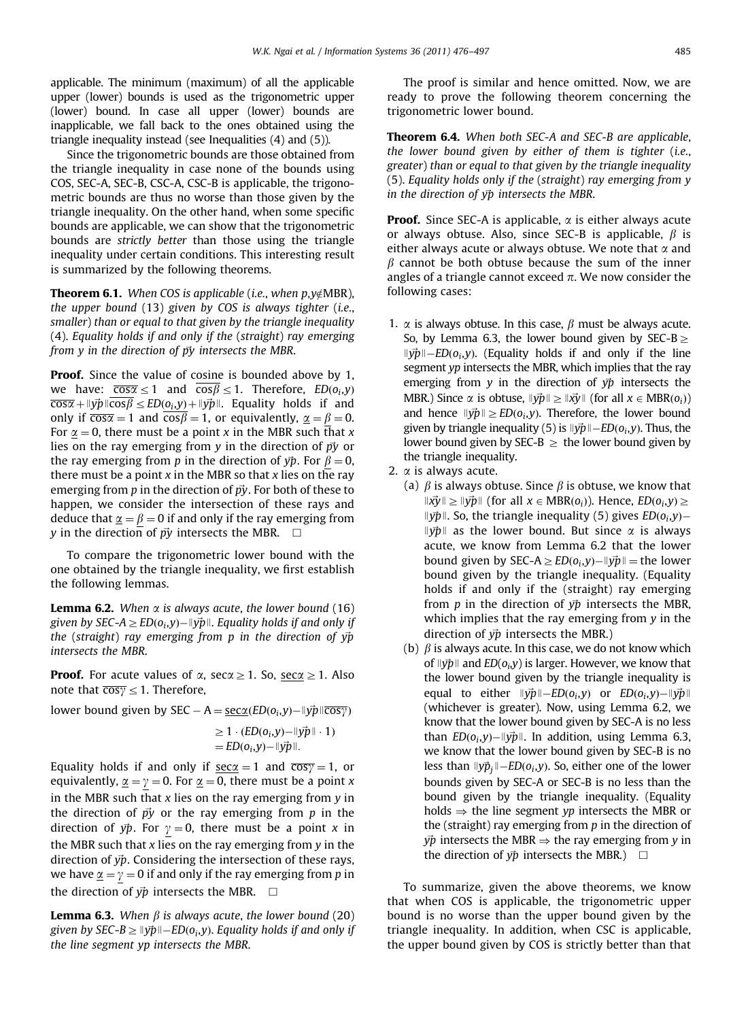applicable. The minimum (maximum) of all the applicable upper (lower) bounds is used as the trigonometric upper (lower) bound. In case all upper (lower) bounds are inapplicable, we fall back to the ones obtained using the triangle inequality instead (see Inequalities (4) and (5)).

Since the trigonometric bounds are those obtained from the triangle inequality in case none of the bounds using COS, SEC-A, SEC-B, CSC-A, CSC-B is applicable, the trigonometric bounds are thus no worse than those given by the triangle inequality. On the other hand, when some specific bounds are applicable, we can show that the trigonometric bounds are strictly better than those using the triangle inequality under certain conditions. This interesting result is summarized by the following theorems.

**Theorem 6.1.** When COS is applicable (i.e., when  $p, y \notin MBR$ ), the upper bound (13) given by COS is always tighter (i.e., smaller) than or equal to that given by the triangle inequality (4). Equality holds if and only if the (straight) ray emerging from  $y$  in the direction of  $\vec{py}$  intersects the MBR.

**Proof.** Since the value of cosine is bounded above by 1, we have:  $\overline{\cos \alpha} \le 1$  and  $\overline{\cos \beta} \le 1$ . Therefore,  $ED(o_i, y)$  $\overline{\cos \alpha}$  +  $\|\overrightarrow{yp}\| \cos \beta \le ED(o_i, y) + \|\overrightarrow{yp}\|$ . Equality holds if and only if  $\overline{\cos \alpha} = 1$  and  $\overline{\cos \beta} = 1$ , or equivalently,  $\alpha = \beta = 0$ . For  $\alpha$  = 0, there must be a point x in the MBR such that x lies on the ray emerging from  $y$  in the direction of  $\vec{py}$  or the ray emerging from p in the direction of  $y\bar{p}$ . For  $\beta = 0$ , there must be a point  $x$  in the MBR so that  $x$  lies on the ray emerging from p in the direction of  $\vec{pv}$ . For both of these to happen, we consider the intersection of these rays and deduce that  $\underline{\alpha} = \beta = 0$  if and only if the ray emerging from y in the direction of  $\vec{py}$  intersects the MBR.  $\Box$ 

To compare the trigonometric lower bound with the one obtained by the triangle inequality, we first establish the following lemmas.

**Lemma 6.2.** When  $\alpha$  is always acute, the lower bound (16) given by SEC-A  $\geq$  ED $(o_i, y)$ - $\Vert \vec{y} \Vert$ . Equality holds if and only if the (straight) ray emerging from p in the direction of  $\vec{yp}$ intersects the MBR.

**Proof.** For acute values of  $\alpha$ , sec $\alpha \ge 1$ . So, <u>sec $\alpha \ge 1$ </u>. Also note that  $\overline{\cos\gamma} \leq 1$ . Therefore,

lower bound given by SEC – A =  $\frac{\sec(x(ED(o_i, y) - ||y\vec{p}|| \cos y)}{(\sec(x(ED(o_i, y) - ||y\vec{p}|| \cos(y))))}$ 

$$
\geq 1 \cdot (ED(o_i, y) - ||\vec{yp}|| \cdot 1)
$$
  
=  $ED(o_i, y) - ||\vec{yp}||$ .

Equality holds if and only if  $\sec \alpha = 1$  and  $\cos \gamma = 1$ , or equivalently,  $\underline{\alpha} = \gamma = 0$ . For  $\underline{\alpha} = 0$ , there must be a point x in the MBR such that  $x$  lies on the ray emerging from  $y$  in the direction of  $\vec{py}$  or the ray emerging from  $p$  in the direction of  $\vec{yp}$ . For  $\gamma = 0$ , there must be a point x in the MBR such that  $x$  lies on the ray emerging from  $y$  in the direction of  $y\bar{p}$ . Considering the intersection of these rays, we have  $\underline{\alpha} = \gamma = 0$  if and only if the ray emerging from p in the direction of  $y\bar{p}$  intersects the MBR.  $\Box$ 

**Lemma 6.3.** When  $\beta$  is always acute, the lower bound (20) given by SEC-B  $\geq$   $\Vert \vec{yp} \Vert$  -ED $(o_i, y)$ . Equality holds if and only if the line segment yp intersects the MBR.

The proof is similar and hence omitted. Now, we are ready to prove the following theorem concerning the trigonometric lower bound.

Theorem 6.4. When both SEC-A and SEC-B are applicable, the lower bound given by either of them is tighter (i.e., greater) than or equal to that given by the triangle inequality (5). Equality holds only if the (straight) ray emerging from y in the direction of  $y\bar{p}$  intersects the MBR.

**Proof.** Since SEC-A is applicable,  $\alpha$  is either always acute or always obtuse. Also, since SEC-B is applicable,  $\beta$  is either always acute or always obtuse. We note that  $\alpha$  and  $\beta$  cannot be both obtuse because the sum of the inner angles of a triangle cannot exceed  $\pi$ . We now consider the following cases:

- 1.  $\alpha$  is always obtuse. In this case,  $\beta$  must be always acute. So, by Lemma 6.3, the lower bound given by SEC-B $\geq$  $\|\vec{vD}\| - ED(o_i, v)$ . (Equality holds if and only if the line segment yp intersects the MBR, which implies that the ray emerging from y in the direction of  $y\bar{p}$  intersects the MBR.) Since  $\alpha$  is obtuse,  $||\vec{y}|| \geq ||\vec{x}||$  (for all  $x \in \text{MBR}(o_i)$ ) and hence  $\|\vec{yp}\| \ge ED(o_i, y)$ . Therefore, the lower bound given by triangle inequality (5) is  $||\vec{y}|| - ED(o_i, y)$ . Thus, the lower bound given by SEC-B  $\geq$  the lower bound given by the triangle inequality.
- 2.  $\alpha$  is always acute.
	- (a)  $\beta$  is always obtuse. Since  $\beta$  is obtuse, we know that  $\|\vec{xy}\| \ge \|\vec{yp}\|$  (for all  $x \in MBR(o_i)$ ). Hence,  $ED(o_i, y) \ge$  $\|\vec{yp}\|$ . So, the triangle inequality (5) gives  $ED(o_i, y)$ –  $\|\vec{v}\|$  as the lower bound. But since  $\alpha$  is always acute, we know from Lemma 6.2 that the lower bound given by SEC-A  $\geq$  ED( $o_i, y$ ) –  $\Vert \vec{vp} \Vert$  = the lower bound given by the triangle inequality. (Equality holds if and only if the (straight) ray emerging from p in the direction of  $\vec{vp}$  intersects the MBR, which implies that the ray emerging from  $y$  in the direction of  $y\bar{p}$  intersects the MBR.)
	- (b)  $\beta$  is always acute. In this case, we do not know which of  $\|\vec{yp}\|$  and  $ED(o_i, y)$  is larger. However, we know that the lower bound given by the triangle inequality is equal to either  $\|\vec{vp}\| - ED(o_i, v)$  or  $ED(o_i, v) - \|\vec{vp}\|$ (whichever is greater). Now, using Lemma 6.2, we know that the lower bound given by SEC-A is no less than  $ED(o_i, y)$ - $\|\vec{y}\|$ . In addition, using Lemma 6.3, we know that the lower bound given by SEC-B is no less than  $||y\vec{p}_j||$ -ED $(o_i, y)$ . So, either one of the lower bounds given by SEC-A or SEC-B is no less than the bound given by the triangle inequality. (Equality holds  $\Rightarrow$  the line segment yp intersects the MBR or the (straight) ray emerging from  $p$  in the direction of  $y\bar{p}$  intersects the MBR  $\Rightarrow$  the ray emerging from y in the direction of  $y\bar{p}$  intersects the MBR.)  $\Box$

To summarize, given the above theorems, we know that when COS is applicable, the trigonometric upper bound is no worse than the upper bound given by the triangle inequality. In addition, when CSC is applicable, the upper bound given by COS is strictly better than that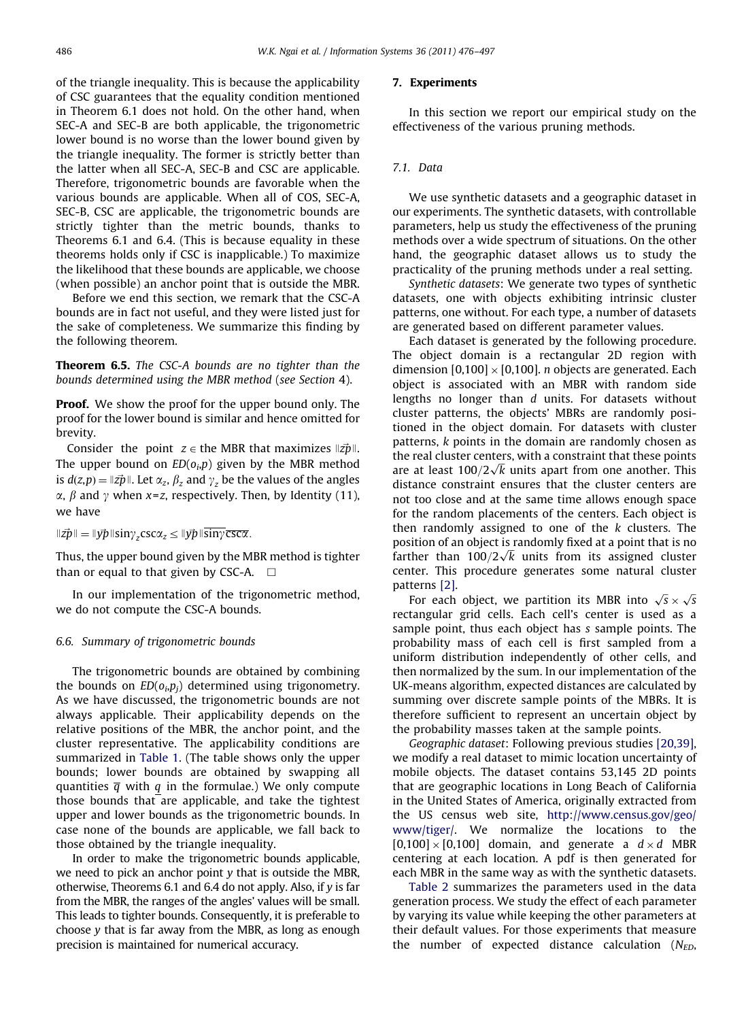of the triangle inequality. This is because the applicability of CSC guarantees that the equality condition mentioned in Theorem 6.1 does not hold. On the other hand, when SEC-A and SEC-B are both applicable, the trigonometric lower bound is no worse than the lower bound given by the triangle inequality. The former is strictly better than the latter when all SEC-A, SEC-B and CSC are applicable. Therefore, trigonometric bounds are favorable when the various bounds are applicable. When all of COS, SEC-A, SEC-B, CSC are applicable, the trigonometric bounds are strictly tighter than the metric bounds, thanks to Theorems 6.1 and 6.4. (This is because equality in these theorems holds only if CSC is inapplicable.) To maximize the likelihood that these bounds are applicable, we choose (when possible) an anchor point that is outside the MBR.

Before we end this section, we remark that the CSC-A bounds are in fact not useful, and they were listed just for the sake of completeness. We summarize this finding by the following theorem.

Theorem 6.5. The CSC-A bounds are no tighter than the bounds determined using the MBR method (see Section 4).

Proof. We show the proof for the upper bound only. The proof for the lower bound is similar and hence omitted for brevity.

Consider the point  $z \in$  the MBR that maximizes  $\Vert z\psi \Vert$ . The upper bound on  $ED(o_i, p)$  given by the MBR method is  $d(z, p) = ||\vec{z}p||$ . Let  $\alpha_z$ ,  $\beta_z$  and  $\gamma_z$  be the values of the angles  $\alpha$ ,  $\beta$  and  $\gamma$  when x=z, respectively. Then, by Identity (11), we have

 $\Vert z\vec{p}\Vert = \Vert y\vec{p}\Vert \sin\gamma_z \csc\alpha_z \leq \Vert y\vec{p}\Vert \overline{\sin\gamma} \overline{\csc\alpha}.$ 

Thus, the upper bound given by the MBR method is tighter than or equal to that given by CSC-A.  $\Box$ 

In our implementation of the trigonometric method, we do not compute the CSC-A bounds.

#### 6.6. Summary of trigonometric bounds

The trigonometric bounds are obtained by combining the bounds on  $ED(o_i, p_i)$  determined using trigonometry. As we have discussed, the trigonometric bounds are not always applicable. Their applicability depends on the relative positions of the MBR, the anchor point, and the cluster representative. The applicability conditions are summarized in [Table 1](#page-6-0). (The table shows only the upper bounds; lower bounds are obtained by swapping all quantities  $\overline{q}$  with q in the formulae.) We only compute those bounds that are applicable, and take the tightest upper and lower bounds as the trigonometric bounds. In case none of the bounds are applicable, we fall back to those obtained by the triangle inequality.

In order to make the trigonometric bounds applicable, we need to pick an anchor point  $y$  that is outside the MBR, otherwise, Theorems 6.1 and 6.4 do not apply. Also, if y is far from the MBR, the ranges of the angles' values will be small. This leads to tighter bounds. Consequently, it is preferable to choose y that is far away from the MBR, as long as enough precision is maintained for numerical accuracy.

## 7. Experiments

In this section we report our empirical study on the effectiveness of the various pruning methods.

## 7.1. Data

We use synthetic datasets and a geographic dataset in our experiments. The synthetic datasets, with controllable parameters, help us study the effectiveness of the pruning methods over a wide spectrum of situations. On the other hand, the geographic dataset allows us to study the practicality of the pruning methods under a real setting.

Synthetic datasets: We generate two types of synthetic datasets, one with objects exhibiting intrinsic cluster patterns, one without. For each type, a number of datasets are generated based on different parameter values.

Each dataset is generated by the following procedure. The object domain is a rectangular 2D region with dimension  $[0,100] \times [0,100]$ . *n* objects are generated. Each object is associated with an MBR with random side lengths no longer than d units. For datasets without cluster patterns, the objects' MBRs are randomly positioned in the object domain. For datasets with cluster patterns, k points in the domain are randomly chosen as the real cluster centers, with a constraint that these points the real cluster centers, whilf a constraint that these points are at least  $100/2\sqrt{k}$  units apart from one another. This distance constraint ensures that the cluster centers are not too close and at the same time allows enough space for the random placements of the centers. Each object is then randomly assigned to one of the  $k$  clusters. The position of an object is randomly fixed at a point that is no position of an object is randomly fixed at a point that is no<br>farther than  $100/2\sqrt{k}$  units from its assigned cluster center. This procedure generates some natural cluster patterns [\[2\]](#page-20-0).

For each object, we partition its MBR into  $\sqrt{s} \times \sqrt{s}$ rectangular grid cells. Each cell's center is used as a sample point, thus each object has s sample points. The probability mass of each cell is first sampled from a uniform distribution independently of other cells, and then normalized by the sum. In our implementation of the UK-means algorithm, expected distances are calculated by summing over discrete sample points of the MBRs. It is therefore sufficient to represent an uncertain object by the probability masses taken at the sample points.

Geographic dataset: Following previous studies [\[20,39\]](#page-21-0), we modify a real dataset to mimic location uncertainty of mobile objects. The dataset contains 53,145 2D points that are geographic locations in Long Beach of California in the United States of America, originally extracted from the US census web site, [http://www.census.gov/geo/](http://www.census.gov/geo/www/tiger/) [www/tiger/.](http://www.census.gov/geo/www/tiger/) We normalize the locations to the  $[0,100] \times [0,100]$  domain, and generate a  $d \times d$  MBR centering at each location. A pdf is then generated for each MBR in the same way as with the synthetic datasets.

[Table 2](#page-11-0) summarizes the parameters used in the data generation process. We study the effect of each parameter by varying its value while keeping the other parameters at their default values. For those experiments that measure the number of expected distance calculation  $(N_{ED},$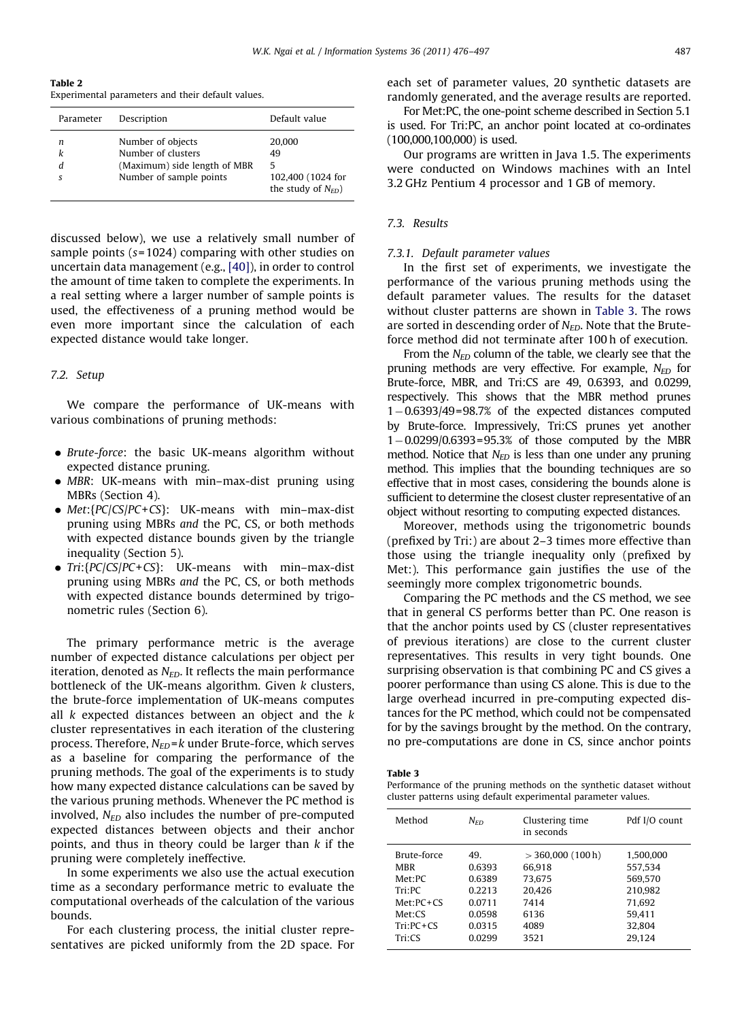<span id="page-11-0"></span>Table 2 Experimental parameters and their default values.

| Parameter   | Description                                                                                        | Default value                                                     |
|-------------|----------------------------------------------------------------------------------------------------|-------------------------------------------------------------------|
| n<br>k<br>d | Number of objects<br>Number of clusters<br>(Maximum) side length of MBR<br>Number of sample points | 20,000<br>49<br>5<br>102,400 (1024 for<br>the study of $N_{FD}$ ) |

discussed below), we use a relatively small number of sample points (s=1024) comparing with other studies on uncertain data management (e.g., [\[40\]\)](#page-21-0), in order to control the amount of time taken to complete the experiments. In a real setting where a larger number of sample points is used, the effectiveness of a pruning method would be even more important since the calculation of each expected distance would take longer.

## 7.2. Setup

We compare the performance of UK-means with various combinations of pruning methods:

- Brute-force: the basic UK-means algorithm without expected distance pruning.
- $\bullet$  MBR: UK-means with min-max-dist pruning using MBRs (Section 4).
- Met:{PC/CS/PC+CS}: UK-means with min-max-dist pruning using MBRs and the PC, CS, or both methods with expected distance bounds given by the triangle inequality (Section 5).
- Tri:{PC/CS/PC+CS}: UK-means with min-max-dist pruning using MBRs and the PC, CS, or both methods with expected distance bounds determined by trigonometric rules (Section 6).

The primary performance metric is the average number of expected distance calculations per object per iteration, denoted as  $N_{ED}$ . It reflects the main performance bottleneck of the UK-means algorithm. Given k clusters, the brute-force implementation of UK-means computes all  $k$  expected distances between an object and the  $k$ cluster representatives in each iteration of the clustering process. Therefore,  $N_{ED}$ =k under Brute-force, which serves as a baseline for comparing the performance of the pruning methods. The goal of the experiments is to study how many expected distance calculations can be saved by the various pruning methods. Whenever the PC method is involved,  $N_{FD}$  also includes the number of pre-computed expected distances between objects and their anchor points, and thus in theory could be larger than  $k$  if the pruning were completely ineffective.

In some experiments we also use the actual execution time as a secondary performance metric to evaluate the computational overheads of the calculation of the various bounds.

For each clustering process, the initial cluster representatives are picked uniformly from the 2D space. For each set of parameter values, 20 synthetic datasets are randomly generated, and the average results are reported.

For Met:PC, the one-point scheme described in Section 5.1 is used. For Tri:PC, an anchor point located at co-ordinates (100,000,100,000) is used.

Our programs are written in Java 1.5. The experiments were conducted on Windows machines with an Intel 3.2 GHz Pentium 4 processor and 1 GB of memory.

## 7.3. Results

## 7.3.1. Default parameter values

In the first set of experiments, we investigate the performance of the various pruning methods using the default parameter values. The results for the dataset without cluster patterns are shown in Table 3. The rows are sorted in descending order of  $N_{ED}$ . Note that the Bruteforce method did not terminate after 100 h of execution.

From the  $N_{ED}$  column of the table, we clearly see that the pruning methods are very effective. For example,  $N_{ED}$  for Brute-force, MBR, and Tri:CS are 49, 0.6393, and 0.0299, respectively. This shows that the MBR method prunes  $1-0.6393/49=98.7%$  of the expected distances computed by Brute-force. Impressively, Tri:CS prunes yet another  $1 - 0.0299/0.6393 = 95.3%$  of those computed by the MBR method. Notice that  $N_{ED}$  is less than one under any pruning method. This implies that the bounding techniques are so effective that in most cases, considering the bounds alone is sufficient to determine the closest cluster representative of an object without resorting to computing expected distances.

Moreover, methods using the trigonometric bounds (prefixed by Tri:) are about 2–3 times more effective than those using the triangle inequality only (prefixed by Met:). This performance gain justifies the use of the seemingly more complex trigonometric bounds.

Comparing the PC methods and the CS method, we see that in general CS performs better than PC. One reason is that the anchor points used by CS (cluster representatives of previous iterations) are close to the current cluster representatives. This results in very tight bounds. One surprising observation is that combining PC and CS gives a poorer performance than using CS alone. This is due to the large overhead incurred in pre-computing expected distances for the PC method, which could not be compensated for by the savings brought by the method. On the contrary, no pre-computations are done in CS, since anchor points

Table 3

Performance of the pruning methods on the synthetic dataset without cluster patterns using default experimental parameter values.

| Method           | $N_{FD}$ | Clustering time<br>in seconds | Pdf I/O count |
|------------------|----------|-------------------------------|---------------|
| Brute-force      | 49.      | $>$ 360,000 (100 h)           | 1.500.000     |
| <b>MBR</b>       | 0.6393   | 66.918                        | 557.534       |
| Met:PC           | 0.6389   | 73.675                        | 569.570       |
| Tri:PC           | 0.2213   | 20.426                        | 210.982       |
| $Mert$ $PC + CS$ | 0.0711   | 7414                          | 71.692        |
| Met:CS           | 0.0598   | 6136                          | 59.411        |
| $Tri: PC+CS$     | 0.0315   | 4089                          | 32.804        |
| Tri:CS           | 0.0299   | 3521                          | 29.124        |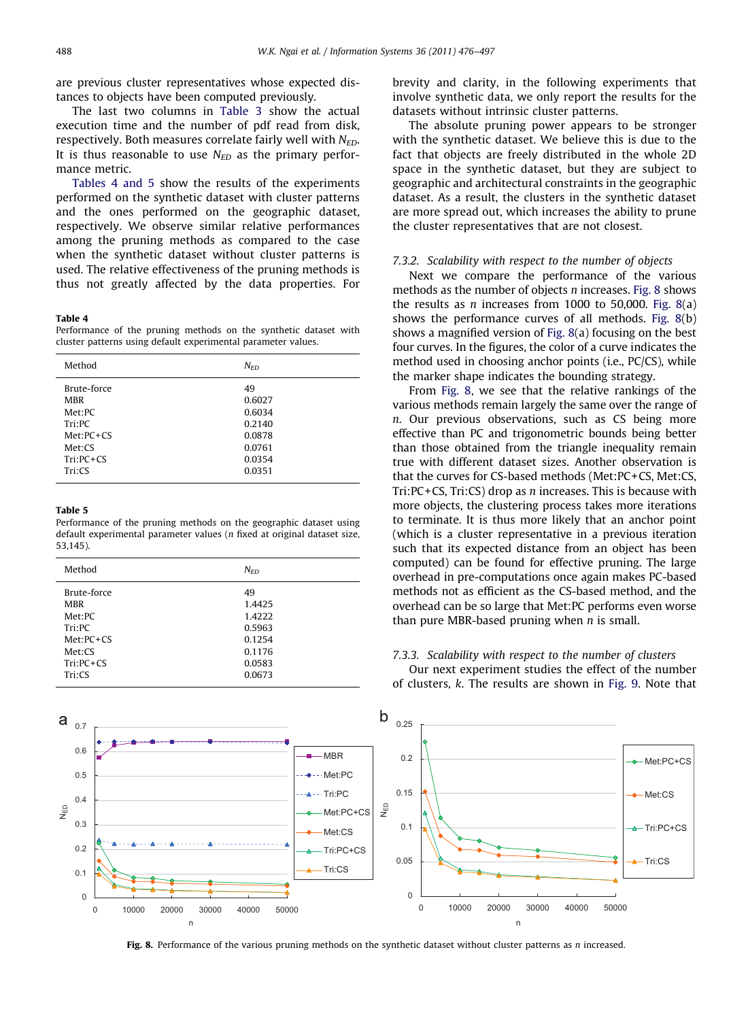are previous cluster representatives whose expected distances to objects have been computed previously.

The last two columns in [Table 3](#page-11-0) show the actual execution time and the number of pdf read from disk, respectively. Both measures correlate fairly well with  $N_{ED}$ . It is thus reasonable to use  $N_{ED}$  as the primary performance metric.

Tables 4 and 5 show the results of the experiments performed on the synthetic dataset with cluster patterns and the ones performed on the geographic dataset, respectively. We observe similar relative performances among the pruning methods as compared to the case when the synthetic dataset without cluster patterns is used. The relative effectiveness of the pruning methods is thus not greatly affected by the data properties. For

#### Table 4

Performance of the pruning methods on the synthetic dataset with cluster patterns using default experimental parameter values.

| Method         | $N_{FD}$ |
|----------------|----------|
| Brute-force    | 49       |
| <b>MBR</b>     | 0.6027   |
| Met:PC         | 0.6034   |
| Tri:PC         | 0.2140   |
| $Met: PC + CS$ | 0.0878   |
| Met:CS         | 0.0761   |
| $Tri: PC + CS$ | 0.0354   |
| Tri:CS         | 0.0351   |

#### Table 5

Performance of the pruning methods on the geographic dataset using default experimental parameter values ( $n$  fixed at original dataset size, 53,145).

| Method                | $N_{FD}$         |
|-----------------------|------------------|
| Brute-force           | 49               |
| <b>MBR</b><br>Met:PC  | 1.4425<br>1.4222 |
| Tri:PC                | 0.5963           |
| $Met: PC + CS$        | 0.1254           |
| Met:CS                | 0.1176           |
| $Tri:PC+CS$<br>Tri:CS | 0.0583<br>0.0673 |



brevity and clarity, in the following experiments that involve synthetic data, we only report the results for the datasets without intrinsic cluster patterns.

The absolute pruning power appears to be stronger with the synthetic dataset. We believe this is due to the fact that objects are freely distributed in the whole 2D space in the synthetic dataset, but they are subject to geographic and architectural constraints in the geographic dataset. As a result, the clusters in the synthetic dataset are more spread out, which increases the ability to prune the cluster representatives that are not closest.

# 7.3.2. Scalability with respect to the number of objects

Next we compare the performance of the various methods as the number of objects  $n$  increases. Fig. 8 shows the results as *n* increases from 1000 to 50,000. Fig.  $8(a)$ shows the performance curves of all methods. Fig. 8(b) shows a magnified version of Fig. 8(a) focusing on the best four curves. In the figures, the color of a curve indicates the method used in choosing anchor points (i.e., PC/CS), while the marker shape indicates the bounding strategy.

From Fig. 8, we see that the relative rankings of the various methods remain largely the same over the range of n. Our previous observations, such as CS being more effective than PC and trigonometric bounds being better than those obtained from the triangle inequality remain true with different dataset sizes. Another observation is that the curves for CS-based methods (Met:PC+CS, Met:CS, Tri:PC+CS, Tri:CS) drop as n increases. This is because with more objects, the clustering process takes more iterations to terminate. It is thus more likely that an anchor point (which is a cluster representative in a previous iteration such that its expected distance from an object has been computed) can be found for effective pruning. The large overhead in pre-computations once again makes PC-based methods not as efficient as the CS-based method, and the overhead can be so large that Met:PC performs even worse than pure MBR-based pruning when  $n$  is small.

## 7.3.3. Scalability with respect to the number of clusters

Our next experiment studies the effect of the number of clusters, k. The results are shown in [Fig. 9.](#page-13-0) Note that



Fig. 8. Performance of the various pruning methods on the synthetic dataset without cluster patterns as n increased.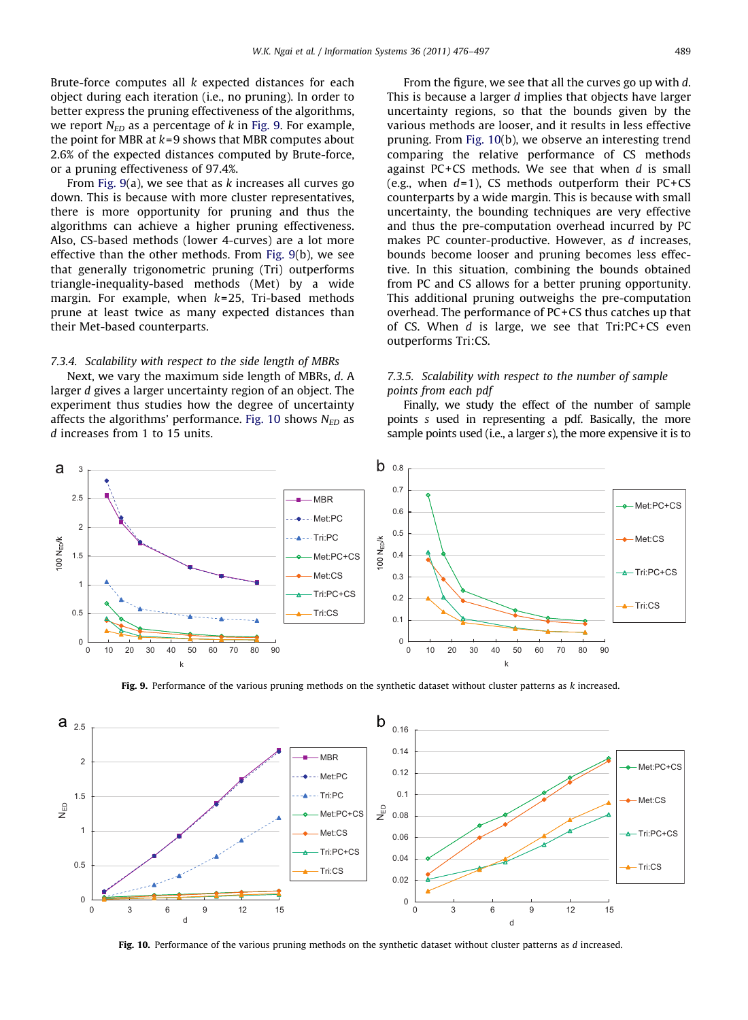<span id="page-13-0"></span>Brute-force computes all k expected distances for each object during each iteration (i.e., no pruning). In order to better express the pruning effectiveness of the algorithms, we report  $N_{ED}$  as a percentage of k in Fig. 9. For example, the point for MBR at  $k=9$  shows that MBR computes about 2.6% of the expected distances computed by Brute-force, or a pruning effectiveness of 97.4%.

From Fig.  $9(a)$ , we see that as k increases all curves go down. This is because with more cluster representatives, there is more opportunity for pruning and thus the algorithms can achieve a higher pruning effectiveness. Also, CS-based methods (lower 4-curves) are a lot more effective than the other methods. From Fig. 9(b), we see that generally trigonometric pruning (Tri) outperforms triangle-inequality-based methods (Met) by a wide margin. For example, when  $k=25$ , Tri-based methods prune at least twice as many expected distances than their Met-based counterparts.

## 7.3.4. Scalability with respect to the side length of MBRs

Next, we vary the maximum side length of MBRs, d. A larger d gives a larger uncertainty region of an object. The experiment thus studies how the degree of uncertainty affects the algorithms' performance. Fig. 10 shows  $N_{FD}$  as d increases from 1 to 15 units.

From the figure, we see that all the curves go up with d. This is because a larger d implies that objects have larger uncertainty regions, so that the bounds given by the various methods are looser, and it results in less effective pruning. From Fig. 10(b), we observe an interesting trend comparing the relative performance of CS methods against PC+CS methods. We see that when  $d$  is small (e.g., when  $d=1$ ), CS methods outperform their PC+CS counterparts by a wide margin. This is because with small uncertainty, the bounding techniques are very effective and thus the pre-computation overhead incurred by PC makes PC counter-productive. However, as d increases, bounds become looser and pruning becomes less effective. In this situation, combining the bounds obtained from PC and CS allows for a better pruning opportunity. This additional pruning outweighs the pre-computation overhead. The performance of PC+CS thus catches up that of CS. When d is large, we see that Tri:PC+CS even outperforms Tri:CS.

# 7.3.5. Scalability with respect to the number of sample points from each pdf

Finally, we study the effect of the number of sample points s used in representing a pdf. Basically, the more sample points used (i.e., a larger s), the more expensive it is to



Fig. 9. Performance of the various pruning methods on the synthetic dataset without cluster patterns as k increased.



Fig. 10. Performance of the various pruning methods on the synthetic dataset without cluster patterns as d increased.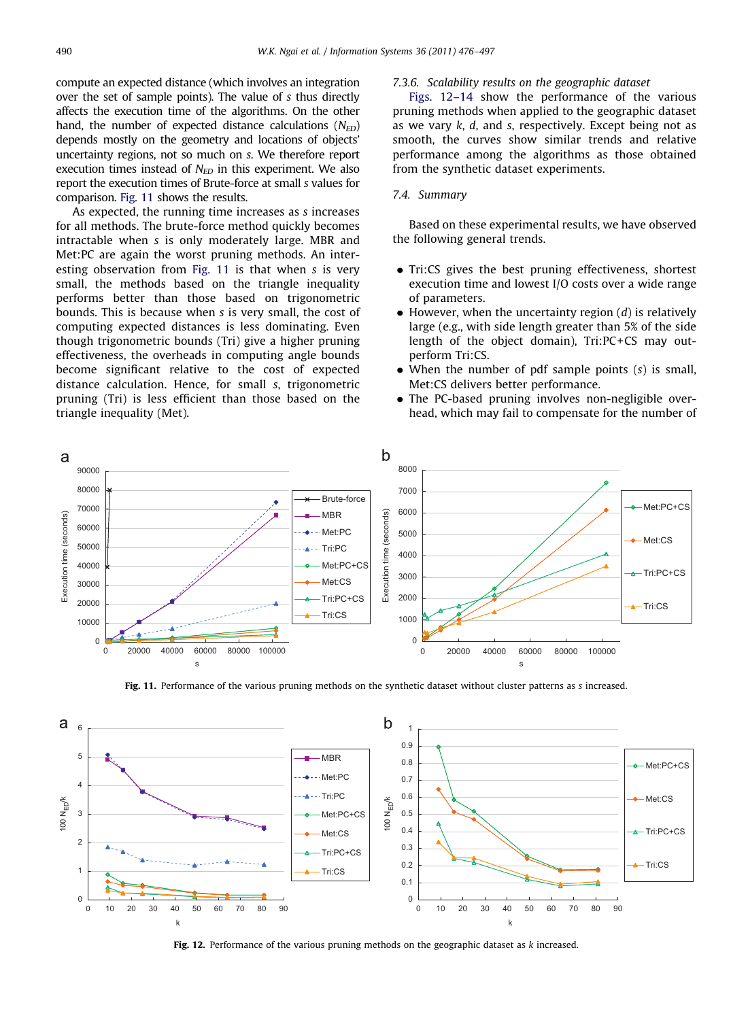compute an expected distance (which involves an integration over the set of sample points). The value of s thus directly affects the execution time of the algorithms. On the other hand, the number of expected distance calculations  $(N_{FD})$ depends mostly on the geometry and locations of objects' uncertainty regions, not so much on s. We therefore report execution times instead of  $N_{ED}$  in this experiment. We also report the execution times of Brute-force at small s values for comparison. Fig. 11 shows the results.

As expected, the running time increases as s increases for all methods. The brute-force method quickly becomes intractable when s is only moderately large. MBR and Met:PC are again the worst pruning methods. An interesting observation from Fig. 11 is that when s is very small, the methods based on the triangle inequality performs better than those based on trigonometric bounds. This is because when s is very small, the cost of computing expected distances is less dominating. Even though trigonometric bounds (Tri) give a higher pruning effectiveness, the overheads in computing angle bounds become significant relative to the cost of expected distance calculation. Hence, for small s, trigonometric pruning (Tri) is less efficient than those based on the triangle inequality (Met).

## 7.3.6. Scalability results on the geographic dataset

Figs. 12–14 show the performance of the various pruning methods when applied to the geographic dataset as we vary  $k$ ,  $d$ , and  $s$ , respectively. Except being not as smooth, the curves show similar trends and relative performance among the algorithms as those obtained from the synthetic dataset experiments.

# 7.4. Summary

Based on these experimental results, we have observed the following general trends.

- Tri:CS gives the best pruning effectiveness, shortest execution time and lowest I/O costs over a wide range of parameters.
- $\bullet$  However, when the uncertainty region  $(d)$  is relatively large (e.g., with side length greater than 5% of the side length of the object domain), Tri:PC+CS may outperform Tri:CS.
- $\bullet$ When the number of pdf sample points (s) is small, Met:CS delivers better performance.
- $\bullet$  The PC-based pruning involves non-negligible overhead, which may fail to compensate for the number of



Fig. 11. Performance of the various pruning methods on the synthetic dataset without cluster patterns as s increased.



Fig. 12. Performance of the various pruning methods on the geographic dataset as  $k$  increased.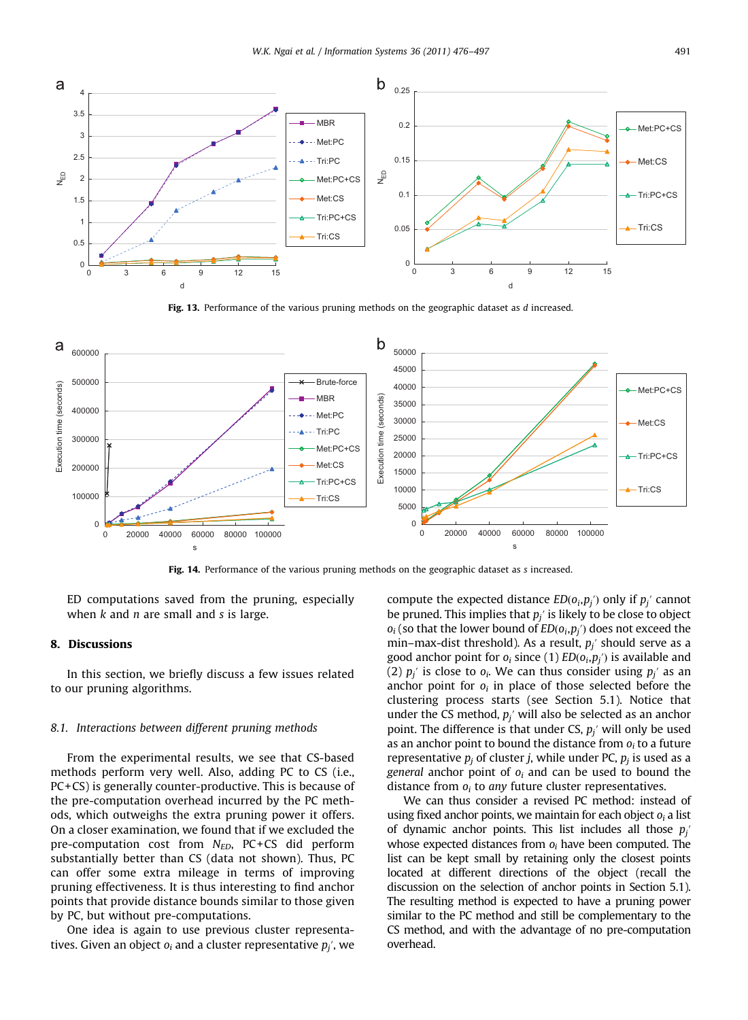

Fig. 13. Performance of the various pruning methods on the geographic dataset as d increased.



Fig. 14. Performance of the various pruning methods on the geographic dataset as s increased.

ED computations saved from the pruning, especially when  $k$  and  $n$  are small and  $s$  is large.

## 8. Discussions

In this section, we briefly discuss a few issues related to our pruning algorithms.

## 8.1. Interactions between different pruning methods

From the experimental results, we see that CS-based methods perform very well. Also, adding PC to CS (i.e., PC+CS) is generally counter-productive. This is because of the pre-computation overhead incurred by the PC methods, which outweighs the extra pruning power it offers. On a closer examination, we found that if we excluded the pre-computation cost from  $N_{ED}$ , PC+CS did perform substantially better than CS (data not shown). Thus, PC can offer some extra mileage in terms of improving pruning effectiveness. It is thus interesting to find anchor points that provide distance bounds similar to those given by PC, but without pre-computations.

One idea is again to use previous cluster representatives. Given an object  $o_i$  and a cluster representative  $p_i'$ , we compute the expected distance  $ED(o_i, p_i')$  only if  $p_i'$  cannot be pruned. This implies that  $p_i$  is likely to be close to object  $o_i$  (so that the lower bound of  $ED(o_i, p_i)$  does not exceed the min–max-dist threshold). As a result,  $p_i$  should serve as a good anchor point for  $o_i$  since (1)  $ED(o_i, p_i)$  is available and (2)  $p_i$  is close to  $o_i$ . We can thus consider using  $p_i$  as an anchor point for  $o_i$  in place of those selected before the clustering process starts (see Section 5.1). Notice that under the CS method,  $p_i'$  will also be selected as an anchor point. The difference is that under CS,  $p_i$ ' will only be used as an anchor point to bound the distance from  $o_i$  to a future representative  $p_i$  of cluster *i*, while under PC,  $p_i$  is used as a general anchor point of  $o_i$  and can be used to bound the distance from  $o_i$  to any future cluster representatives.

We can thus consider a revised PC method: instead of using fixed anchor points, we maintain for each object  $o_i$  a list of dynamic anchor points. This list includes all those  $p_i$ whose expected distances from  $o_i$  have been computed. The list can be kept small by retaining only the closest points located at different directions of the object (recall the discussion on the selection of anchor points in Section 5.1). The resulting method is expected to have a pruning power similar to the PC method and still be complementary to the CS method, and with the advantage of no pre-computation overhead.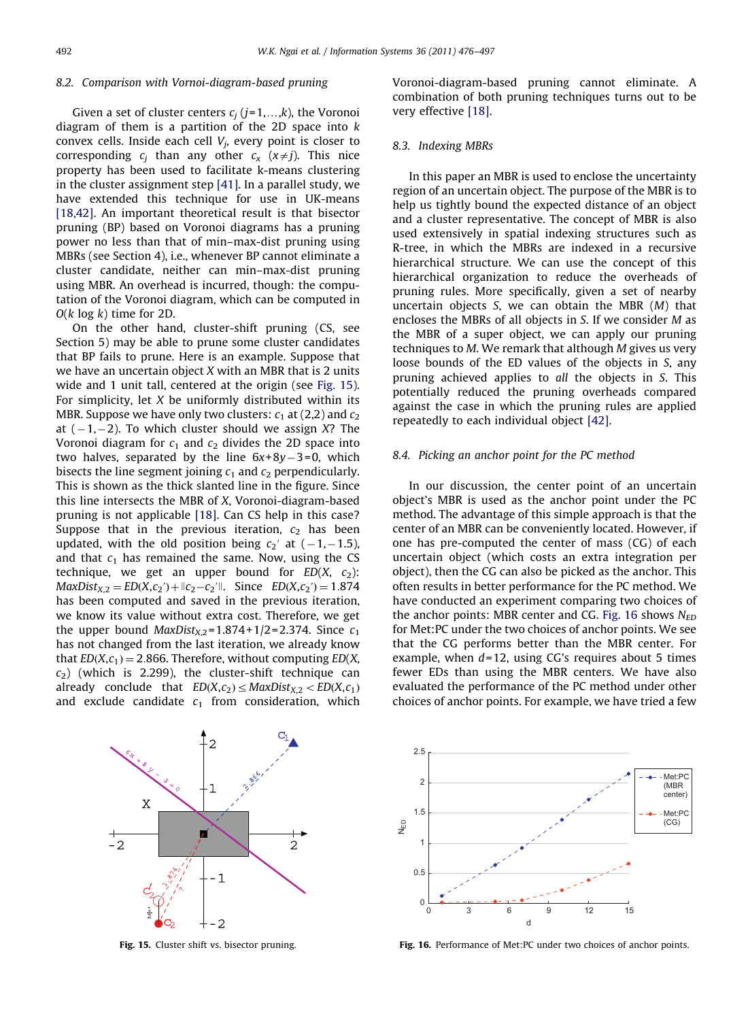#### 8.2. Comparison with Vornoi-diagram-based pruning

Given a set of cluster centers  $c_i$  ( $j=1,...,k$ ), the Voronoi diagram of them is a partition of the 2D space into  $k$ convex cells. Inside each cell  $V_i$ , every point is closer to corresponding  $c_i$  than any other  $c_x$  ( $x \neq j$ ). This nice property has been used to facilitate k-means clustering in the cluster assignment step [\[41\].](#page-21-0) In a parallel study, we have extended this technique for use in UK-means [\[18,42\]](#page-20-0). An important theoretical result is that bisector pruning (BP) based on Voronoi diagrams has a pruning power no less than that of min–max-dist pruning using MBRs (see Section 4), i.e., whenever BP cannot eliminate a cluster candidate, neither can min–max-dist pruning using MBR. An overhead is incurred, though: the computation of the Voronoi diagram, which can be computed in  $O(k \log k)$  time for 2D.

On the other hand, cluster-shift pruning (CS, see Section 5) may be able to prune some cluster candidates that BP fails to prune. Here is an example. Suppose that we have an uncertain object X with an MBR that is 2 units wide and 1 unit tall, centered at the origin (see Fig. 15). For simplicity, let  $X$  be uniformly distributed within its MBR. Suppose we have only two clusters:  $c_1$  at (2.2) and  $c_2$ at  $(-1,-2)$ . To which cluster should we assign X? The Voronoi diagram for  $c_1$  and  $c_2$  divides the 2D space into two halves, separated by the line  $6x+8y-3=0$ , which bisects the line segment joining  $c_1$  and  $c_2$  perpendicularly. This is shown as the thick slanted line in the figure. Since this line intersects the MBR of X, Voronoi-diagram-based pruning is not applicable [\[18\].](#page-20-0) Can CS help in this case? Suppose that in the previous iteration,  $c_2$  has been updated, with the old position being  $c_2$  at  $(-1,-1.5)$ , and that  $c_1$  has remained the same. Now, using the CS technique, we get an upper bound for  $ED(X, c_2)$ :  $MaxDist_{X,2} = ED(X, c_2') + ||c_2 - c_2'||.$  Since  $ED(X, c_2') = 1.874$ has been computed and saved in the previous iteration, we know its value without extra cost. Therefore, we get the upper bound  $MaxDist_{X,2}=1.874+1/2=2.374$ . Since  $c_1$ has not changed from the last iteration, we already know that  $ED(X, c_1) = 2.866$ . Therefore, without computing  $ED(X, c_1)$  $c_2$ ) (which is 2.299), the cluster-shift technique can already conclude that  $ED(X,c_2) \leq MaxDist_{X,2} < ED(X,c_1)$ and exclude candidate  $c_1$  from consideration, which



Fig. 15. Cluster shift vs. bisector pruning.

Voronoi-diagram-based pruning cannot eliminate. A combination of both pruning techniques turns out to be very effective [\[18\]](#page-20-0).

## 8.3. Indexing MBRs

In this paper an MBR is used to enclose the uncertainty region of an uncertain object. The purpose of the MBR is to help us tightly bound the expected distance of an object and a cluster representative. The concept of MBR is also used extensively in spatial indexing structures such as R-tree, in which the MBRs are indexed in a recursive hierarchical structure. We can use the concept of this hierarchical organization to reduce the overheads of pruning rules. More specifically, given a set of nearby uncertain objects  $S$ , we can obtain the MBR  $(M)$  that encloses the MBRs of all objects in S. If we consider M as the MBR of a super object, we can apply our pruning techniques to M. We remark that although M gives us very loose bounds of the ED values of the objects in S, any pruning achieved applies to all the objects in S. This potentially reduced the pruning overheads compared against the case in which the pruning rules are applied repeatedly to each individual object [\[42\]](#page-21-0).

## 8.4. Picking an anchor point for the PC method

In our discussion, the center point of an uncertain object's MBR is used as the anchor point under the PC method. The advantage of this simple approach is that the center of an MBR can be conveniently located. However, if one has pre-computed the center of mass (CG) of each uncertain object (which costs an extra integration per object), then the CG can also be picked as the anchor. This often results in better performance for the PC method. We have conducted an experiment comparing two choices of the anchor points: MBR center and CG. Fig. 16 shows  $N_{\text{FD}}$ for Met:PC under the two choices of anchor points. We see that the CG performs better than the MBR center. For example, when  $d=12$ , using CG's requires about 5 times fewer EDs than using the MBR centers. We have also evaluated the performance of the PC method under other choices of anchor points. For example, we have tried a few



Fig. 16. Performance of Met:PC under two choices of anchor points.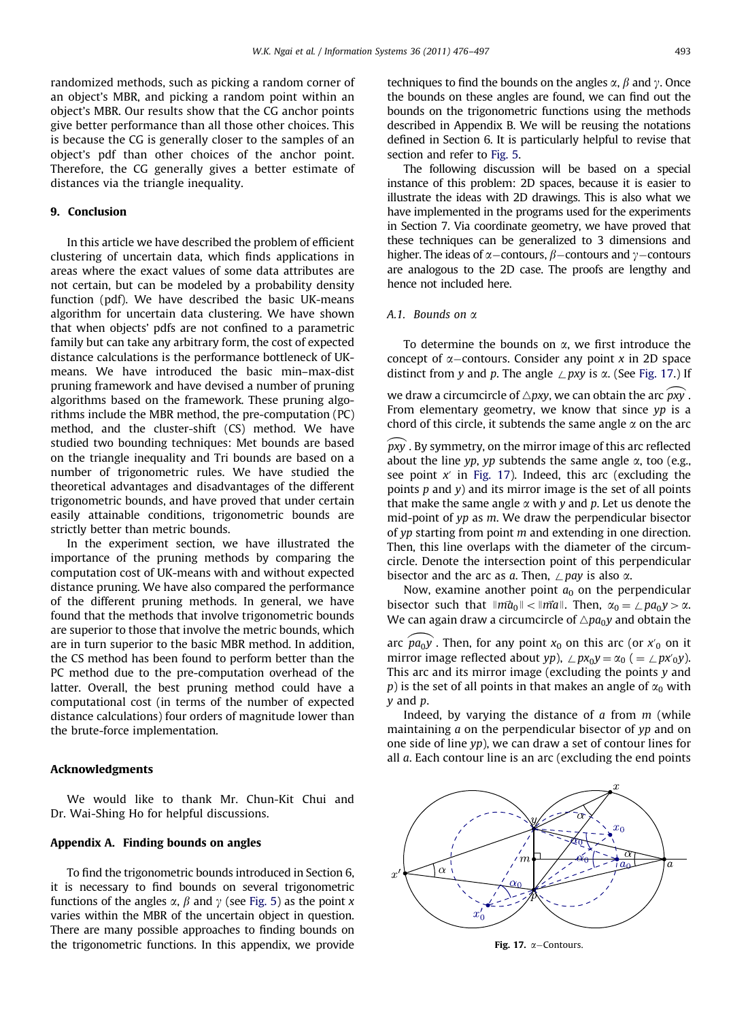randomized methods, such as picking a random corner of an object's MBR, and picking a random point within an object's MBR. Our results show that the CG anchor points give better performance than all those other choices. This is because the CG is generally closer to the samples of an object's pdf than other choices of the anchor point. Therefore, the CG generally gives a better estimate of distances via the triangle inequality.

# 9. Conclusion

In this article we have described the problem of efficient clustering of uncertain data, which finds applications in areas where the exact values of some data attributes are not certain, but can be modeled by a probability density function (pdf). We have described the basic UK-means algorithm for uncertain data clustering. We have shown that when objects' pdfs are not confined to a parametric family but can take any arbitrary form, the cost of expected distance calculations is the performance bottleneck of UKmeans. We have introduced the basic min–max-dist pruning framework and have devised a number of pruning algorithms based on the framework. These pruning algorithms include the MBR method, the pre-computation (PC) method, and the cluster-shift (CS) method. We have studied two bounding techniques: Met bounds are based on the triangle inequality and Tri bounds are based on a number of trigonometric rules. We have studied the theoretical advantages and disadvantages of the different trigonometric bounds, and have proved that under certain easily attainable conditions, trigonometric bounds are strictly better than metric bounds.

In the experiment section, we have illustrated the importance of the pruning methods by comparing the computation cost of UK-means with and without expected distance pruning. We have also compared the performance of the different pruning methods. In general, we have found that the methods that involve trigonometric bounds are superior to those that involve the metric bounds, which are in turn superior to the basic MBR method. In addition, the CS method has been found to perform better than the PC method due to the pre-computation overhead of the latter. Overall, the best pruning method could have a computational cost (in terms of the number of expected distance calculations) four orders of magnitude lower than the brute-force implementation.

### Acknowledgments

We would like to thank Mr. Chun-Kit Chui and Dr. Wai-Shing Ho for helpful discussions.

## Appendix A. Finding bounds on angles

To find the trigonometric bounds introduced in Section 6, it is necessary to find bounds on several trigonometric functions of the angles  $\alpha$ ,  $\beta$  and  $\gamma$  (see [Fig. 5\)](#page-6-0) as the point x varies within the MBR of the uncertain object in question. There are many possible approaches to finding bounds on the trigonometric functions. In this appendix, we provide techniques to find the bounds on the angles  $\alpha$ ,  $\beta$  and  $\gamma$ . Once the bounds on these angles are found, we can find out the bounds on the trigonometric functions using the methods described in Appendix B. We will be reusing the notations defined in Section 6. It is particularly helpful to revise that section and refer to [Fig. 5](#page-6-0).

The following discussion will be based on a special instance of this problem: 2D spaces, because it is easier to illustrate the ideas with 2D drawings. This is also what we have implemented in the programs used for the experiments in Section 7. Via coordinate geometry, we have proved that these techniques can be generalized to 3 dimensions and higher. The ideas of  $\alpha$ –contours,  $\beta$ –contours and  $\gamma$ –contours are analogous to the 2D case. The proofs are lengthy and hence not included here.

# A.1. Bounds on  $\alpha$

To determine the bounds on  $\alpha$ , we first introduce the concept of  $\alpha$ -contours. Consider any point x in 2D space distinct from y and p. The angle  $\angle$  pxy is  $\alpha$ . (See Fig. 17.) If

we draw a circumcircle of  $\triangle$ pxy, we can obtain the arc  $\stackrel{\sim}{pxy}$  . From elementary geometry, we know that since yp is a chord of this circle, it subtends the same angle  $\alpha$  on the arc

 $\widehat{pxy}$  . By symmetry, on the mirror image of this arc reflected about the line yp, yp subtends the same angle  $\alpha$ , too (e.g., see point  $x'$  in Fig. 17). Indeed, this arc (excluding the points  $p$  and  $y$ ) and its mirror image is the set of all points that make the same angle  $\alpha$  with y and p. Let us denote the mid-point of yp as m. We draw the perpendicular bisector of yp starting from point m and extending in one direction. Then, this line overlaps with the diameter of the circumcircle. Denote the intersection point of this perpendicular bisector and the arc as a. Then,  $\angle$  pay is also  $\alpha$ .

Now, examine another point  $a_0$  on the perpendicular bisector such that  $\|\vec{ma}_0\| < \|\vec{ma}\|$ . Then,  $\alpha_0 = \angle pa_0y > \alpha$ . We can again draw a circumcircle of  $\triangle pa_0y$  and obtain the

arc  $\widehat{pa_0y}$  . Then, for any point  $x_0$  on this arc (or  $x_0$  on it mirror image reflected about  $yp$ ),  $\angle px_0y = \alpha_0$  ( =  $\angle px_0y$ ). This arc and its mirror image (excluding the points y and p) is the set of all points in that makes an angle of  $\alpha_0$  with  $y$  and  $p$ .

Indeed, by varying the distance of  $a$  from  $m$  (while maintaining a on the perpendicular bisector of yp and on one side of line  $yp$ ), we can draw a set of contour lines for all a. Each contour line is an arc (excluding the end points



Fig. 17.  $\alpha$ -Contours.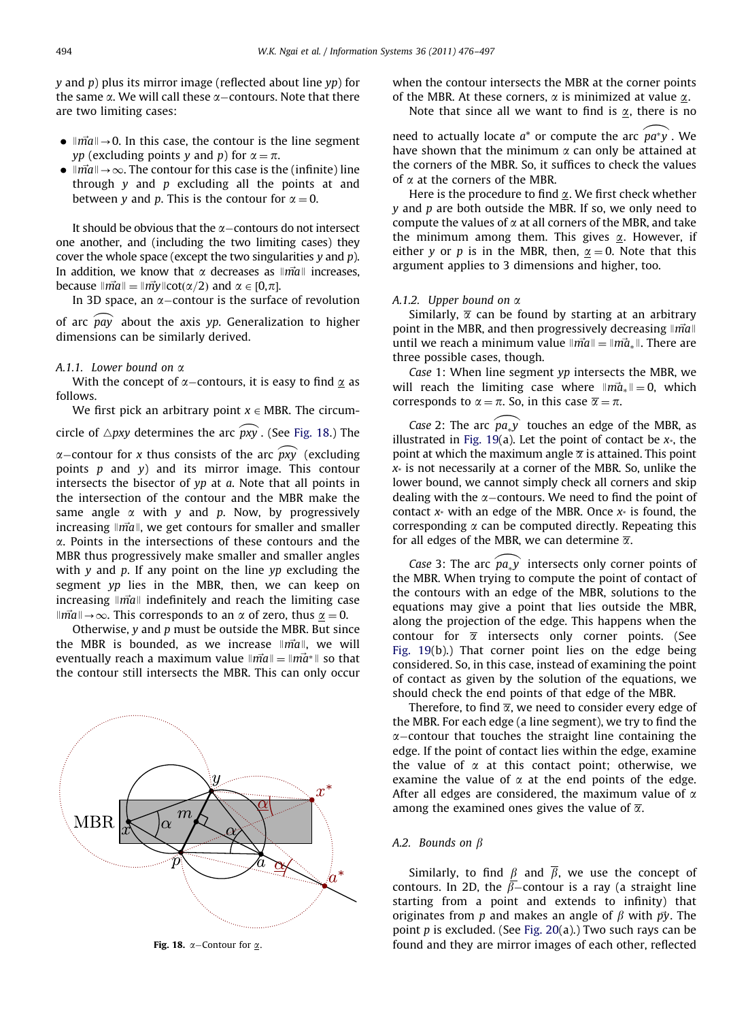$y$  and  $p$ ) plus its mirror image (reflected about line  $yp$ ) for the same  $\alpha$ . We will call these  $\alpha$ -contours. Note that there are two limiting cases:

- $\bullet$   $\|\vec{ma}\| \rightarrow 0$ . In this case, the contour is the line segment *vp* (excluding points *y* and *p*) for  $\alpha = \pi$ .
- $\bullet$   $\|\vec{ma}\| \rightarrow \infty$ . The contour for this case is the (infinite) line through  $y$  and  $p$  excluding all the points at and between y and p. This is the contour for  $\alpha = 0$ .

It should be obvious that the  $\alpha$ -contours do not intersect one another, and (including the two limiting cases) they cover the whole space (except the two singularities  $y$  and  $p$ ). In addition, we know that  $\alpha$  decreases as  $\|\vec{ma}\|$  increases, because  $\|\vec{ma}\| = \|\vec{my}\| \cot(\alpha/2)$  and  $\alpha \in [0,\pi]$ .

In 3D space, an  $\alpha$ -contour is the surface of revolution

of arc  $\widehat{pay}$  about the axis yp. Generalization to higher dimensions can be similarly derived.

# A.1.1. Lower bound on  $\alpha$

With the concept of  $\alpha$ -contours, it is easy to find  $\underline{\alpha}$  as follows.

We first pick an arbitrary point  $x \in MBR$ . The circum-

circle of  $\triangle$ pxy determines the arc  $\stackrel{\frown}{pxy}$  . (See Fig. 18.) The

 $\alpha$ –contour for x thus consists of the arc  $\stackrel{\sim}{pxy}$  (excluding points  $p$  and  $y$ ) and its mirror image. This contour intersects the bisector of yp at a. Note that all points in the intersection of the contour and the MBR make the same angle  $\alpha$  with  $\gamma$  and  $\beta$ . Now, by progressively  $increasing \parallel \vec{m}a \parallel$ , we get contours for smaller and smaller  $\alpha$ . Points in the intersections of these contours and the MBR thus progressively make smaller and smaller angles with  $y$  and  $p$ . If any point on the line  $yp$  excluding the segment yp lies in the MBR, then, we can keep on increasing  $\|\vec{ma}\|$  indefinitely and reach the limiting case  $\|\vec{ma}\| \rightarrow \infty$ . This corresponds to an  $\alpha$  of zero, thus  $\alpha = 0$ .

Otherwise,  $y$  and  $p$  must be outside the MBR. But since the MBR is bounded, as we increase  $\|\vec{ma}\|$ , we will eventually reach a maximum value  $\|\vec{ma}\| = \|\vec{ma}^*\|$  so that the contour still intersects the MBR. This can only occur



when the contour intersects the MBR at the corner points of the MBR. At these corners,  $\alpha$  is minimized at value  $\alpha$ . Note that since all we want to find is  $\alpha$ , there is no

need to actually locate  $a^*$  or compute the arc  $\widehat{pa^*y}$  . We have shown that the minimum  $\alpha$  can only be attained at the corners of the MBR. So, it suffices to check the values of  $\alpha$  at the corners of the MBR.

Here is the procedure to find  $\alpha$ . We first check whether  $y$  and  $p$  are both outside the MBR. If so, we only need to compute the values of  $\alpha$  at all corners of the MBR, and take the minimum among them. This gives  $\alpha$ . However, if either y or p is in the MBR, then,  $\alpha = 0$ . Note that this argument applies to 3 dimensions and higher, too.

## A.1.2. Upper bound on  $\alpha$

Similarly,  $\overline{\alpha}$  can be found by starting at an arbitrary point in the MBR, and then progressively decreasing  $\|\vec{ma}\|$ until we reach a minimum value  $\|\vec{ma}\| = \|\vec{ma}\|$ . There are three possible cases, though.

Case 1: When line segment yp intersects the MBR, we will reach the limiting case where  $\|\vec{ma}\| = 0$ , which corresponds to  $\alpha = \pi$ . So, in this case  $\overline{\alpha} = \pi$ .

Case 2: The arc  $\widehat{pa_{*}y}$  touches an edge of the MBR, as illustrated in [Fig. 19](#page-19-0)(a). Let the point of contact be  $x^*$ , the point at which the maximum angle  $\bar{\alpha}$  is attained. This point  $x^*$  is not necessarily at a corner of the MBR. So, unlike the lower bound, we cannot simply check all corners and skip dealing with the  $\alpha$ -contours. We need to find the point of contact  $x^*$  with an edge of the MBR. Once  $x^*$  is found, the corresponding  $\alpha$  can be computed directly. Repeating this for all edges of the MBR, we can determine  $\overline{\alpha}$ .

Case 3: The arc  $\widehat{pa_{*}y}$  intersects only corner points of the MBR. When trying to compute the point of contact of the contours with an edge of the MBR, solutions to the equations may give a point that lies outside the MBR, along the projection of the edge. This happens when the contour for  $\overline{\alpha}$  intersects only corner points. (See [Fig. 19\(](#page-19-0)b).) That corner point lies on the edge being considered. So, in this case, instead of examining the point of contact as given by the solution of the equations, we should check the end points of that edge of the MBR.

Therefore, to find  $\overline{\alpha}$ , we need to consider every edge of the MBR. For each edge (a line segment), we try to find the  $\alpha$ –contour that touches the straight line containing the edge. If the point of contact lies within the edge, examine the value of  $\alpha$  at this contact point; otherwise, we examine the value of  $\alpha$  at the end points of the edge. After all edges are considered, the maximum value of  $\alpha$ among the examined ones gives the value of  $\overline{\alpha}$ .

## A.2. Bounds on  $\beta$

Similarly, to find  $\beta$  and  $\overline{\beta}$ , we use the concept of contours. In 2D, the  $\beta$ -contour is a ray (a straight line starting from a point and extends to infinity) that originates from p and makes an angle of  $\beta$  with  $\vec{py}$ . The point  $p$  is excluded. (See [Fig. 20\(](#page-19-0)a).) Two such rays can be Fig. 18.  $\alpha$ -Contour for  $\underline{\alpha}$ . **Fig. 18.**  $\alpha$ -Contour for  $\underline{\alpha}$ . **Fig. 18.**  $\alpha$ -Contour for  $\underline{\alpha}$ .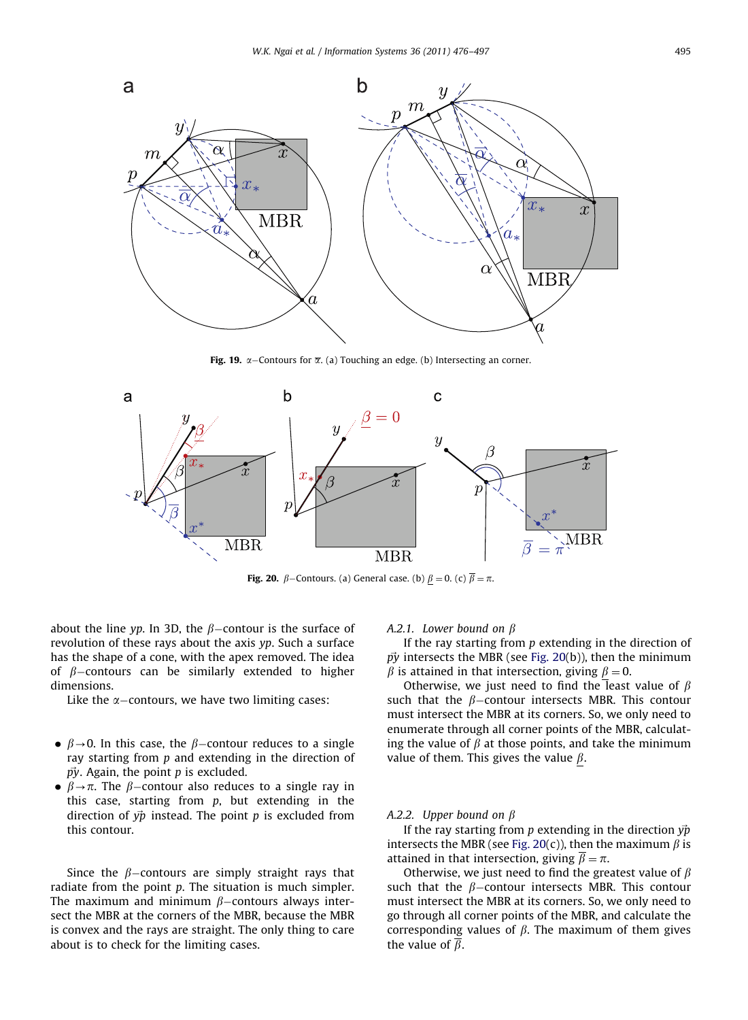<span id="page-19-0"></span>

Fig. 19.  $\alpha$ –Contours for  $\overline{\alpha}$ . (a) Touching an edge. (b) Intersecting an corner.



**Fig. 20.**  $\beta$ –Contours. (a) General case. (b)  $\beta$  = 0. (c)  $\overline{\beta}$  =  $\pi$ .

about the line yp. In 3D, the  $\beta$ -contour is the surface of revolution of these rays about the axis yp. Such a surface has the shape of a cone, with the apex removed. The idea of  $\beta$ -contours can be similarly extended to higher dimensions.

Like the  $\alpha$ -contours, we have two limiting cases:

- $\beta \rightarrow 0$ . In this case, the  $\beta$ -contour reduces to a single ray starting from p and extending in the direction of  $\vec{pv}$ . Again, the point p is excluded.
- $\bullet$   $\beta \rightarrow \pi$ . The  $\beta$ -contour also reduces to a single ray in this case, starting from  $p$ , but extending in the direction of  $\vec{vp}$  instead. The point p is excluded from this contour.

Since the  $\beta$ -contours are simply straight rays that radiate from the point p. The situation is much simpler. The maximum and minimum  $\beta$ -contours always intersect the MBR at the corners of the MBR, because the MBR is convex and the rays are straight. The only thing to care about is to check for the limiting cases.

#### A.2.1. Lower bound on  $\beta$

If the ray starting from  $p$  extending in the direction of  $p\bar{y}$  intersects the MBR (see Fig. 20(b)), then the minimum  $\beta$  is attained in that intersection, giving  $\beta = 0$ .

Otherwise, we just need to find the least value of  $\beta$ such that the  $\beta$ -contour intersects MBR. This contour must intersect the MBR at its corners. So, we only need to enumerate through all corner points of the MBR, calculating the value of  $\beta$  at those points, and take the minimum value of them. This gives the value  $\beta$ .

### A.2.2. Upper bound on  $\beta$

If the ray starting from p extending in the direction  $\vec{vp}$ intersects the MBR (see Fig. 20(c)), then the maximum  $\beta$  is attained in that intersection, giving  $\overline{\beta} = \pi$ .

Otherwise, we just need to find the greatest value of  $\beta$ such that the  $\beta$ -contour intersects MBR. This contour must intersect the MBR at its corners. So, we only need to go through all corner points of the MBR, and calculate the corresponding values of  $\beta$ . The maximum of them gives the value of  $\beta$ .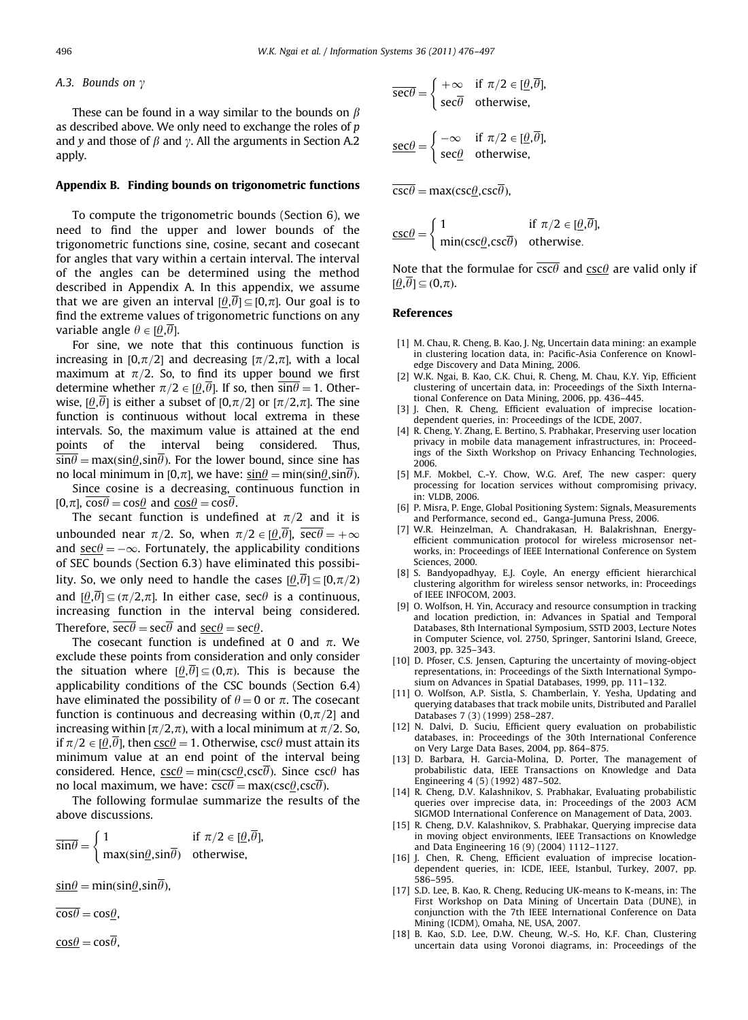# <span id="page-20-0"></span>A.3. Bounds on  $\gamma$

These can be found in a way similar to the bounds on  $\beta$ as described above. We only need to exchange the roles of  $p$ and y and those of  $\beta$  and  $\gamma$ . All the arguments in Section A.2 apply.

## Appendix B. Finding bounds on trigonometric functions

To compute the trigonometric bounds (Section 6), we need to find the upper and lower bounds of the trigonometric functions sine, cosine, secant and cosecant for angles that vary within a certain interval. The interval of the angles can be determined using the method described in Appendix A. In this appendix, we assume that we are given an interval  $\theta, \theta \in [0,\pi]$ . Our goal is to find the extreme values of trigonometric functions on any variable angle  $\theta \in [\theta, \overline{\theta}]$ .

For sine, we note that this continuous function is increasing in [0, $\pi/2$ ] and decreasing [ $\pi/2,\pi$ ], with a local maximum at  $\pi/2$ . So, to find its upper bound we first determine whether  $\pi/2 \in [\theta, \overline{\theta}]$ . If so, then  $\overline{\sin \theta} = 1$ . Otherwise,  $[\theta,\overline{\theta}]$  is either a subset of  $[0,\pi/2]$  or  $[\pi/2,\pi]$ . The sine function is continuous without local extrema in these intervals. So, the maximum value is attained at the end points of the interval being considered. Thus,  $\overline{\sin\theta}$  = max( $\sin\theta$ ,  $\sin\overline{\theta}$ ). For the lower bound, since sine has no local minimum in [0, $\pi$ ], we have:  $\sin\theta = \min(\sin\theta, \sin\theta)$ .

Since cosine is a decreasing, continuous function in  $[0,\pi]$ ,  $\overline{\cos\theta} = \cos\theta$  and  $\cos\theta = \cos\overline{\theta}$ .

The secant function is undefined at  $\pi/2$  and it is unbounded near  $\pi/2$ . So, when  $\pi/2 \in [\theta,\overline{\theta}]$ ,  $\overline{\sec \theta} = +\infty$ and  $\frac{\text{sec}\theta}{ } = -\infty$ . Fortunately, the applicability conditions of SEC bounds (Section 6.3) have eliminated this possibility. So, we only need to handle the cases  $[\theta,\overline{\theta}] \subseteq [0,\pi/2)$ and  $[\underline{\theta}, \overline{\theta}] \subseteq (\pi/2, \pi]$ . In either case, sec $\theta$  is a continuous, increasing function in the interval being considered. Therefore,  $\overline{\sec\theta} = \sec\theta$  and  $\sec\theta = \sec\theta$ .

The cosecant function is undefined at 0 and  $\pi$ . We exclude these points from consideration and only consider the situation where  $[\theta,\overline{\theta}] \subseteq (0,\pi)$ . This is because the applicability conditions of the CSC bounds (Section 6.4) have eliminated the possibility of  $\theta = 0$  or  $\pi$ . The cosecant function is continuous and decreasing within  $(0,\pi/2]$  and increasing within  $[\pi/2,\pi)$ , with a local minimum at  $\pi/2$ . So, if  $\pi/2 \in [\theta,\overline{\theta}]$ , then csc $\theta = 1$ . Otherwise, csc $\theta$  must attain its minimum value at an end point of the interval being considered. Hence,  $\csc\theta = \min(\csc\theta, \csc\theta)$ . Since  $\csc\theta$  has no local maximum, we have:  $\overline{\csc \theta}$  = max $(\csc \theta, \csc \overline{\theta})$ .

The following formulae summarize the results of the above discussions.

$$
\overline{\sin \theta} = \begin{cases} 1 & \text{if } \pi/2 \in [\underline{\theta}, \overline{\theta}], \\ \max(\sin \underline{\theta}, \sin \overline{\theta}) & \text{otherwise,} \end{cases}
$$

 $\sin\theta = \min(\sin\theta, \sin\theta)$ ,

 $\overline{\cos \theta} = \cos \theta$ ,

$$
\underline{\cos\theta} = \cos\theta,
$$

$$
\overline{\sec \theta} = \begin{cases}\n+\infty & \text{if } \pi/2 \in [\underline{\theta}, \overline{\theta}], \\
\sec \overline{\theta} & \text{otherwise,} \n\end{cases}
$$
\n
$$
\underline{\sec \theta} = \begin{cases}\n-\infty & \text{if } \pi/2 \in [\underline{\theta}, \overline{\theta}], \\
\sec \underline{\theta} & \text{otherwise,} \n\end{cases}
$$

 $\overline{\csc\theta}$  = max $(\csc\theta,\csc\overline{\theta})$ ,

$$
\underline{\csc \theta} = \begin{cases} 1 & \text{if } \pi/2 \in [\underline{\theta}, \overline{\theta}], \\ \min(\csc \underline{\theta}, \csc \overline{\theta}) & \text{otherwise.} \end{cases}
$$

Note that the formulae for  $\overline{\csc \theta}$  and  $\csc \theta$  are valid only if  $\overline{\theta}$  $\overline{\theta}$  $\leq$   $(0,\pi)$ .

## References

- [1] M. Chau, R. Cheng, B. Kao, J. Ng, Uncertain data mining: an example in clustering location data, in: Pacific-Asia Conference on Knowledge Discovery and Data Mining, 2006.
- [2] W.K. Ngai, B. Kao, C.K. Chui, R. Cheng, M. Chau, K.Y. Yip, Efficient clustering of uncertain data, in: Proceedings of the Sixth International Conference on Data Mining, 2006, pp. 436–445.
- [3] J. Chen, R. Cheng, Efficient evaluation of imprecise locationdependent queries, in: Proceedings of the ICDE, 2007.
- [4] R. Cheng, Y. Zhang, E. Bertino, S. Prabhakar, Preserving user location privacy in mobile data management infrastructures, in: Proceedings of the Sixth Workshop on Privacy Enhancing Technologies, 2006.
- [5] M.F. Mokbel, C.-Y. Chow, W.G. Aref, The new casper: query processing for location services without compromising privacy, in: VLDB, 2006.
- [6] P. Misra, P. Enge, Global Positioning System: Signals, Measurements and Performance, second ed., Ganga-Jumuna Press, 2006.
- [7] W.R. Heinzelman, A. Chandrakasan, H. Balakrishnan, Energyefficient communication protocol for wireless microsensor networks, in: Proceedings of IEEE International Conference on System Sciences, 2000.
- [8] S. Bandyopadhyay, E.J. Coyle, An energy efficient hierarchical clustering algorithm for wireless sensor networks, in: Proceedings of IEEE INFOCOM, 2003.
- [9] O. Wolfson, H. Yin, Accuracy and resource consumption in tracking and location prediction, in: Advances in Spatial and Temporal Databases, 8th International Symposium, SSTD 2003, Lecture Notes in Computer Science, vol. 2750, Springer, Santorini Island, Greece, 2003, pp. 325–343.
- [10] D. Pfoser, C.S. Jensen, Capturing the uncertainty of moving-object representations, in: Proceedings of the Sixth International Symposium on Advances in Spatial Databases, 1999, pp. 111–132.
- [11] O. Wolfson, A.P. Sistla, S. Chamberlain, Y. Yesha, Updating and querying databases that track mobile units, Distributed and Parallel Databases 7 (3) (1999) 258–287.
- [12] N. Dalvi, D. Suciu, Efficient query evaluation on probabilistic databases, in: Proceedings of the 30th International Conference on Very Large Data Bases, 2004, pp. 864–875.
- [13] D. Barbara, H. Garcia-Molina, D. Porter, The management of probabilistic data, IEEE Transactions on Knowledge and Data Engineering 4 (5) (1992) 487–502.
- [14] R. Cheng, D.V. Kalashnikov, S. Prabhakar, Evaluating probabilistic queries over imprecise data, in: Proceedings of the 2003 ACM SIGMOD International Conference on Management of Data, 2003.
- [15] R. Cheng, D.V. Kalashnikov, S. Prabhakar, Querying imprecise data in moving object environments, IEEE Transactions on Knowledge and Data Engineering 16 (9) (2004) 1112–1127.
- [16] J. Chen, R. Cheng, Efficient evaluation of imprecise locationdependent queries, in: ICDE, IEEE, Istanbul, Turkey, 2007, pp. 586–595.
- [17] S.D. Lee, B. Kao, R. Cheng, Reducing UK-means to K-means, in: The First Workshop on Data Mining of Uncertain Data (DUNE), in conjunction with the 7th IEEE International Conference on Data Mining (ICDM), Omaha, NE, USA, 2007.
- [18] B. Kao, S.D. Lee, D.W. Cheung, W.-S. Ho, K.F. Chan, Clustering uncertain data using Voronoi diagrams, in: Proceedings of the